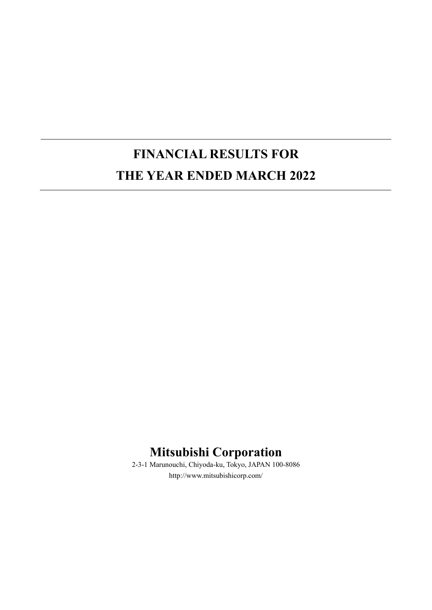# **FINANCIAL RESULTS FOR THE YEAR ENDED MARCH 2022**

# **Mitsubishi Corporation**

2-3-1 Marunouchi, Chiyoda-ku, Tokyo, JAPAN 100-8086 http://www.mitsubishicorp.com/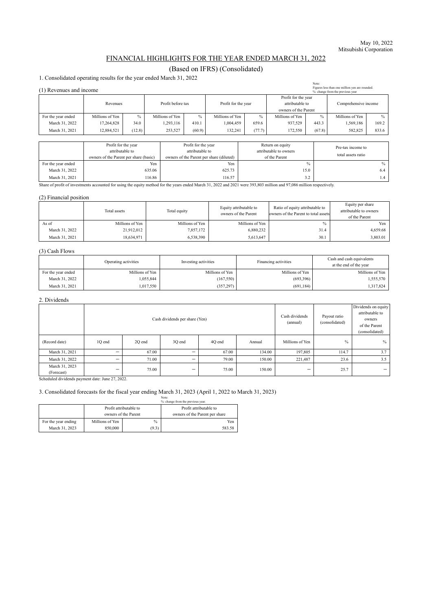#### FINANCIAL HIGHLIGHTS FOR THE YEAR ENDED MARCH 31, 2022

#### (Based on IFRS) (Consolidated)

1. Consolidated operating results for the year ended March 31, 2022

| Note:<br>Figures less than one million yen are rounded.<br>(1) Revenues and income<br>%: change from the previous year |                 |        |                   |        |                     |        |                                                                |        |                      |               |
|------------------------------------------------------------------------------------------------------------------------|-----------------|--------|-------------------|--------|---------------------|--------|----------------------------------------------------------------|--------|----------------------|---------------|
|                                                                                                                        | Revenues        |        | Profit before tax |        | Profit for the year |        | Profit for the year<br>attributable to<br>owners of the Parent |        | Comprehensive income |               |
| For the year ended                                                                                                     | Millions of Yen | $\%$   | Millions of Yen   | $\%$   | Millions of Yen     | $\%$   | Millions of Yen                                                | $\%$   | Millions of Yen      | $\frac{0}{0}$ |
| March 31, 2022                                                                                                         | 17,264,828      | 34.0   | 1,293,116         | 410.1  | 1,004,459           | 659.6  | 937.529                                                        | 443.3  | 1,569,186            | 169.2         |
| March 31, 2021                                                                                                         | 12,884,521      | (12.8) | 253,527           | (60.9) | 132.241             | (77.7) | 172,550                                                        | (67.8) | 582,825              | 833.6         |

|                    | Profit for the year<br>attributable to<br>owners of the Parent per share (basic) | Profit for the year<br>attributable to<br>owners of the Parent per share (diluted) | Return on equity<br>attributable to owners<br>of the Parent | Pre-tax income to<br>total assets ratio |
|--------------------|----------------------------------------------------------------------------------|------------------------------------------------------------------------------------|-------------------------------------------------------------|-----------------------------------------|
| For the year ended | Yen                                                                              | Yen                                                                                |                                                             |                                         |
| March 31, 2022     | 635.06                                                                           | 625.73                                                                             | 15.0                                                        |                                         |
| March 31, 2021     | 116.86                                                                           | 116.57                                                                             | ے ۔                                                         |                                         |

Share of profit of investments accounted for using the equity method for the years ended March 31, 2022 and 2021 were 393,803 million and 97,086 million respectively.

#### (2) Financial position

|                | Total assets    | Total equity    | Equity attributable to<br>owners of the Parent | Ratio of equity attributable to<br>owners of the Parent to total assets | Equity per share<br>attributable to owners<br>of the Parent |
|----------------|-----------------|-----------------|------------------------------------------------|-------------------------------------------------------------------------|-------------------------------------------------------------|
| As of          | Millions of Yen | Millions of Yen | Millions of Yen                                |                                                                         | Yen                                                         |
| March 31, 2022 | 21,912,012      | 7,857,172       | 6,880,232                                      | 31.4                                                                    | 4,659.68                                                    |
| March 31, 2021 | 18,634,971      | 6,538,390       | 5,613,647                                      | 30.1                                                                    | 3,803.01                                                    |

#### (3) Cash Flows

|                    | Operating activities | Investing activities | Financing activities | Cash and cash equivalents<br>at the end of the year |
|--------------------|----------------------|----------------------|----------------------|-----------------------------------------------------|
| For the year ended | Millions of Yen      | Millions of Yen      | Millions of Yen      | Millions of Yen                                     |
| March 31, 2022     | .055,844             | (167, 550)           | (693, 396)           | 1,555,570                                           |
| March 31, 2021     | .017,550             | (357, 297)           | (691, 184)           | 1,317,824                                           |

#### 2. Dividends

| 2. DIVRUMO                   |                                |        |        |        |        |                            |                                |                                                                                     |
|------------------------------|--------------------------------|--------|--------|--------|--------|----------------------------|--------------------------------|-------------------------------------------------------------------------------------|
|                              | Cash dividends per share (Yen) |        |        |        |        | Cash dividends<br>(annual) | Payout ratio<br>(consolidated) | Dividends on equity<br>attributable to<br>owners<br>of the Parent<br>(consolidated) |
| (Record date)                | 10 end                         | 20 end | 30 end | 40 end | Annual | Millions of Yen            | $\%$                           | $\%$                                                                                |
| March 31, 2021               | -                              | 67.00  | —      | 67.00  | 134.00 | 197,805                    | 114.7                          | 3.7                                                                                 |
| March 31, 2022               |                                | 71.00  | —      | 79.00  | 150.00 | 221,487                    | 23.6                           | 3.5                                                                                 |
| March 31, 2023<br>(Forecast) |                                | 75.00  | —      | 75.00  | 150.00 |                            | 25.7                           | $\overline{\phantom{0}}$                                                            |

Scheduled dividends payment date: June 27, 2022.

#### 3. Consolidated forecasts for the fiscal year ending March 31, 2023 (April 1, 2022 to March 31, 2023)

|                     | Note:<br>%: change from the previous year. |                                                |                                                          |  |
|---------------------|--------------------------------------------|------------------------------------------------|----------------------------------------------------------|--|
|                     |                                            | Profit attributable to<br>owners of the Parent | Profit attributable to<br>owners of the Parent per share |  |
| For the year ending | Millions of Yen                            | $\frac{0}{0}$                                  | Yen                                                      |  |
| March 31, 2023      | 850,000                                    | (9.3)                                          | 583.58                                                   |  |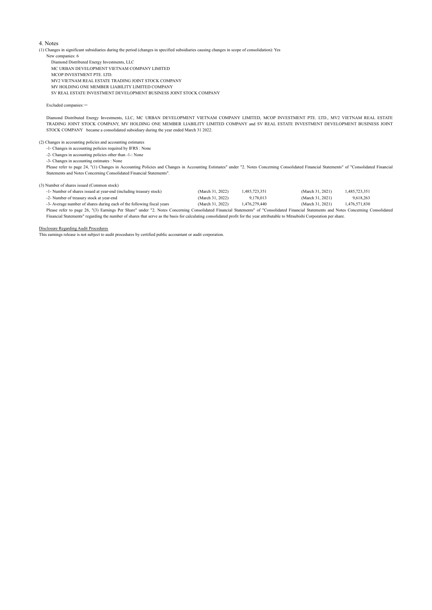#### 4. Notes

(1) Changes in significant subsidiaries during the period (changes in specified subsidiaries causing changes in scope of consolidation): Yes

New companies: 6

 Diamond Distributed Energy Investments, LLC MC URBAN DEVELOPMENT VIETNAM COMPANY LIMITED MCOP INVESTMENT PTE. LTD. MV2 VIETNAM REAL ESTATE TRADING JOINT STOCK COMPANY MV HOLDING ONE MEMBER LIABILITY LIMITED COMPANY SV REAL ESTATE INVESTMENT DEVELOPMENT BUSINESS JOINT STOCK COMPANY

Excluded companies: -

Diamond Distributed Energy Investments, LLC, MC URBAN DEVELOPMENT VIETNAM COMPANY LIMITED, MCOP INVESTMENT PTE. LTD., MV2 VIETNAM REAL ESTATE TRADING JOINT STOCK COMPANY, MV HOLDING ONE MEMBER LIABILITY LIMITED COMPANY and SV REAL ESTATE INVESTMENT DEVELOPMENT BUSINESS JOINT STOCK COMPANY became a consolidated subsidiary during the year ended March 31 2022.

(2) Changes in accounting policies and accounting estimates

-1- Changes in accounting policies required by IFRS : None

-2- Changes in accounting policies other than -1-: None

-3- Changes in accounting estimates : None

Please refer to page 24, "(1) Changes in Accounting Policies and Changes in Accounting Estimates" under "2. Notes Concerning Consolidated Financial Statements" of "Consolidated Financial Statements and Notes Concerning Consolidated Financial Statements".

#### (3) Number of shares issued (Common stock)

| -1- Number of shares issued at year-end (including treasury stock)                                                                                                                      | (March 31, 2022) | 1.485.723.351 | (March 31, 2021) | 1,485,723,351 |
|-----------------------------------------------------------------------------------------------------------------------------------------------------------------------------------------|------------------|---------------|------------------|---------------|
| -2- Number of treasury stock at year-end                                                                                                                                                | (March 31, 2022) | 9.178.013     | (March 31, 2021) | 9,618,263     |
| -3- Average number of shares during each of the following fiscal years                                                                                                                  | (March 31, 2022) | 1.476.279.440 | (March 31, 2021) | 1.476.571.830 |
| Please refer to page 26, "(3) Earnings Per Share" under "2. Notes Concerning Consolidated Financial Statements" of "Consolidated Financial Statements and Notes Concerning Consolidated |                  |               |                  |               |

Financial Statements" regarding the number of shares that serve as the basis for calculating consolidated profit for the year attributable to Mitsubishi Corporation per share.

#### Disclosure Regarding Audit Procedures

This earnings release is not subject to audit procedures by certified public accountant or audit corporation.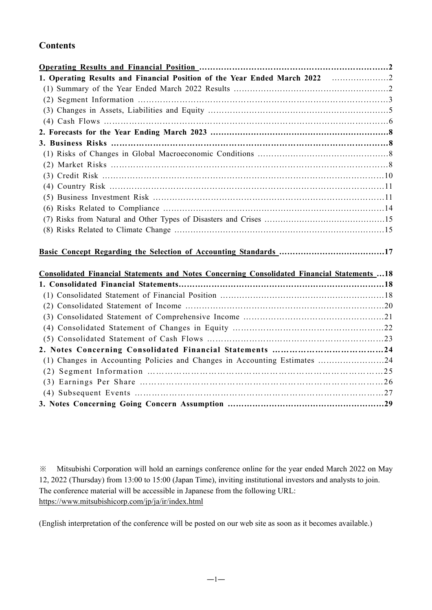### **Contents**

| 1. Operating Results and Financial Position of the Year Ended March 2022                     |  |
|----------------------------------------------------------------------------------------------|--|
|                                                                                              |  |
|                                                                                              |  |
|                                                                                              |  |
|                                                                                              |  |
|                                                                                              |  |
|                                                                                              |  |
|                                                                                              |  |
|                                                                                              |  |
|                                                                                              |  |
|                                                                                              |  |
|                                                                                              |  |
|                                                                                              |  |
|                                                                                              |  |
|                                                                                              |  |
|                                                                                              |  |
|                                                                                              |  |
|                                                                                              |  |
| Consolidated Financial Statements and Notes Concerning Consolidated Financial Statements  18 |  |
|                                                                                              |  |
|                                                                                              |  |
|                                                                                              |  |
|                                                                                              |  |
|                                                                                              |  |
|                                                                                              |  |
|                                                                                              |  |
| (1) Changes in Accounting Policies and Changes in Accounting Estimates 24                    |  |
|                                                                                              |  |
|                                                                                              |  |
|                                                                                              |  |
|                                                                                              |  |

※ Mitsubishi Corporation will hold an earnings conference online for the year ended March 2022 on May 12, 2022 (Thursday) from 13:00 to 15:00 (Japan Time), inviting institutional investors and analysts to join. The conference material will be accessible in Japanese from the following URL: https://www.mitsubishicorp.com/jp/ja/ir/index.html

(English interpretation of the conference will be posted on our web site as soon as it becomes available.)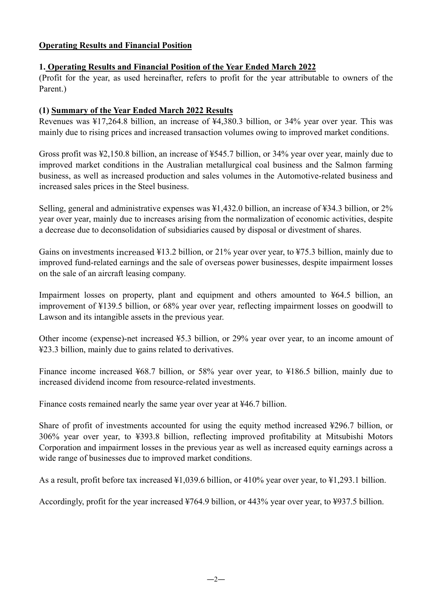#### **Operating Results and Financial Position**

#### **1. Operating Results and Financial Position of the Year Ended March 2022**

(Profit for the year, as used hereinafter, refers to profit for the year attributable to owners of the Parent.)

#### **(1) Summary of the Year Ended March 2022 Results**

Revenues was ¥17,264.8 billion, an increase of ¥4,380.3 billion, or 34% year over year. This was mainly due to rising prices and increased transaction volumes owing to improved market conditions.

Gross profit was ¥2,150.8 billion, an increase of ¥545.7 billion, or 34% year over year, mainly due to improved market conditions in the Australian metallurgical coal business and the Salmon farming business, as well as increased production and sales volumes in the Automotive-related business and increased sales prices in the Steel business.

Selling, general and administrative expenses was ¥1,432.0 billion, an increase of ¥34.3 billion, or 2% year over year, mainly due to increases arising from the normalization of economic activities, despite a decrease due to deconsolidation of subsidiaries caused by disposal or divestment of shares.

Gains on investments increased ¥13.2 billion, or 21% year over year, to ¥75.3 billion, mainly due to improved fund-related earnings and the sale of overseas power businesses, despite impairment losses on the sale of an aircraft leasing company.

Impairment losses on property, plant and equipment and others amounted to ¥64.5 billion, an improvement of ¥139.5 billion, or 68% year over year, reflecting impairment losses on goodwill to Lawson and its intangible assets in the previous year.

Other income (expense)-net increased ¥5.3 billion, or 29% year over year, to an income amount of ¥23.3 billion, mainly due to gains related to derivatives.

Finance income increased ¥68.7 billion, or 58% year over year, to ¥186.5 billion, mainly due to increased dividend income from resource-related investments.

Finance costs remained nearly the same year over year at ¥46.7 billion.

Share of profit of investments accounted for using the equity method increased ¥296.7 billion, or 306% year over year, to ¥393.8 billion, reflecting improved profitability at Mitsubishi Motors Corporation and impairment losses in the previous year as well as increased equity earnings across a wide range of businesses due to improved market conditions.

As a result, profit before tax increased ¥1,039.6 billion, or 410% year over year, to ¥1,293.1 billion.

Accordingly, profit for the year increased ¥764.9 billion, or 443% year over year, to ¥937.5 billion.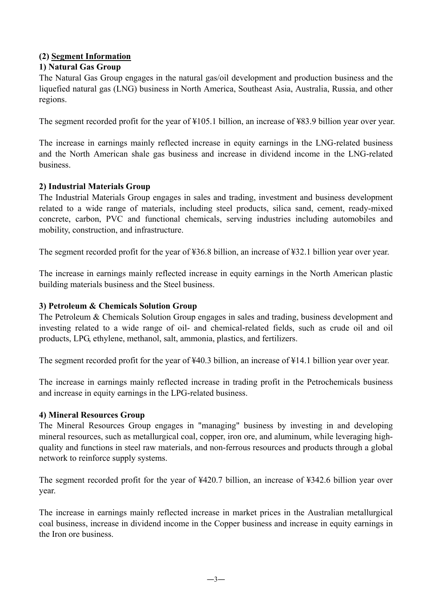#### **(2) Segment Information**

#### **1) Natural Gas Group**

The Natural Gas Group engages in the natural gas/oil development and production business and the liquefied natural gas (LNG) business in North America, Southeast Asia, Australia, Russia, and other regions.

The segment recorded profit for the year of ¥105.1 billion, an increase of ¥83.9 billion year over year.

The increase in earnings mainly reflected increase in equity earnings in the LNG-related business and the North American shale gas business and increase in dividend income in the LNG-related business.

#### **2) Industrial Materials Group**

The Industrial Materials Group engages in sales and trading, investment and business development related to a wide range of materials, including steel products, silica sand, cement, ready-mixed concrete, carbon, PVC and functional chemicals, serving industries including automobiles and mobility, construction, and infrastructure.

The segment recorded profit for the year of ¥36.8 billion, an increase of ¥32.1 billion year over year.

The increase in earnings mainly reflected increase in equity earnings in the North American plastic building materials business and the Steel business.

#### **3) Petroleum & Chemicals Solution Group**

The Petroleum & Chemicals Solution Group engages in sales and trading, business development and investing related to a wide range of oil- and chemical-related fields, such as crude oil and oil products, LPG, ethylene, methanol, salt, ammonia, plastics, and fertilizers.

The segment recorded profit for the year of ¥40.3 billion, an increase of ¥14.1 billion year over year.

The increase in earnings mainly reflected increase in trading profit in the Petrochemicals business and increase in equity earnings in the LPG-related business.

#### **4) Mineral Resources Group**

The Mineral Resources Group engages in "managing" business by investing in and developing mineral resources, such as metallurgical coal, copper, iron ore, and aluminum, while leveraging highquality and functions in steel raw materials, and non-ferrous resources and products through a global network to reinforce supply systems.

The segment recorded profit for the year of ¥420.7 billion, an increase of ¥342.6 billion year over year.

The increase in earnings mainly reflected increase in market prices in the Australian metallurgical coal business, increase in dividend income in the Copper business and increase in equity earnings in the Iron ore business.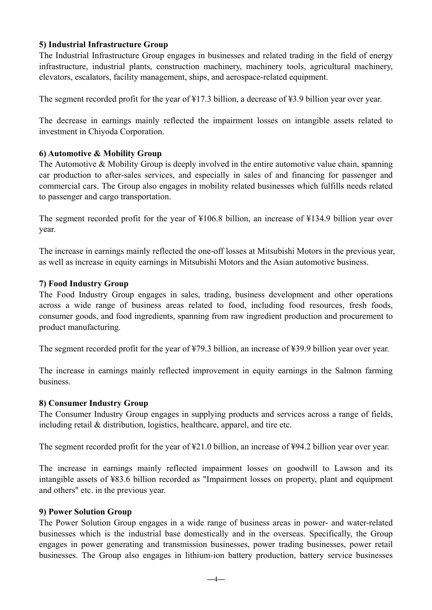#### **5) Industrial Infrastructure Group**

The Industrial Infrastructure Group engages in businesses and related trading in the field of energy infrastructure, industrial plants, construction machinery, machinery tools, agricultural machinery, elevators, escalators, facility management, ships, and aerospace-related equipment.

The segment recorded profit for the year of ¥17.3 billion, a decrease of ¥3.9 billion year over year.

The decrease in earnings mainly reflected the impairment losses on intangible assets related to investment in Chiyoda Corporation.

#### **6) Automotive & Mobility Group**

The Automotive & Mobility Group is deeply involved in the entire automotive value chain, spanning car production to after-sales services, and especially in sales of and financing for passenger and commercial cars. The Group also engages in mobility related businesses which fulfills needs related to passenger and cargo transportation.

The segment recorded profit for the year of ¥106.8 billion, an increase of ¥134.9 billion year over year.

The increase in earnings mainly reflected the one-off losses at Mitsubishi Motors in the previous year, as well as increase in equity earnings in Mitsubishi Motors and the Asian automotive business.

#### **7) Food Industry Group**

The Food Industry Group engages in sales, trading, business development and other operations across a wide range of business areas related to food, including food resources, fresh foods, consumer goods, and food ingredients, spanning from raw ingredient production and procurement to product manufacturing.

The segment recorded profit for the year of ¥79.3 billion, an increase of ¥39.9 billion year over year.

The increase in earnings mainly reflected improvement in equity earnings in the Salmon farming business.

#### **8) Consumer Industry Group**

The Consumer Industry Group engages in supplying products and services across a range of fields, including retail & distribution, logistics, healthcare, apparel, and tire etc.

The segment recorded profit for the year of ¥21.0 billion, an increase of ¥94.2 billion year over year.

The increase in earnings mainly reflected impairment losses on goodwill to Lawson and its intangible assets of ¥83.6 billion recorded as "Impairment losses on property, plant and equipment and others" etc. in the previous year.

#### **9) Power Solution Group**

The Power Solution Group engages in a wide range of business areas in power- and water-related businesses which is the industrial base domestically and in the overseas. Specifically, the Group engages in power generating and transmission businesses, power trading businesses, power retail businesses. The Group also engages in lithium-ion battery production, battery service businesses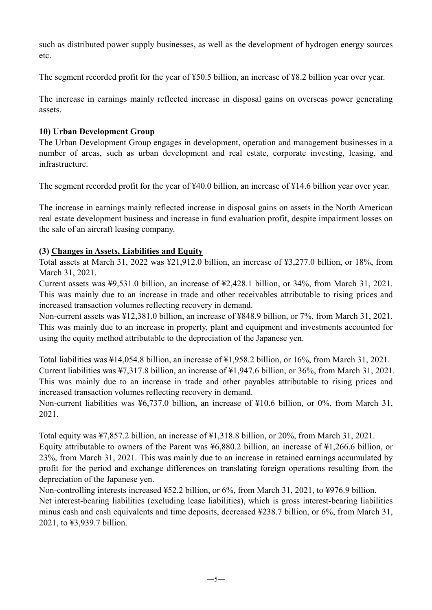such as distributed power supply businesses, as well as the development of hydrogen energy sources etc.

The segment recorded profit for the year of ¥50.5 billion, an increase of ¥8.2 billion year over year.

The increase in earnings mainly reflected increase in disposal gains on overseas power generating assets.

#### **10) Urban Development Group**

The Urban Development Group engages in development, operation and management businesses in a number of areas, such as urban development and real estate, corporate investing, leasing, and infrastructure.

The segment recorded profit for the year of ¥40.0 billion, an increase of ¥14.6 billion year over year.

The increase in earnings mainly reflected increase in disposal gains on assets in the North American real estate development business and increase in fund evaluation profit, despite impairment losses on the sale of an aircraft leasing company.

#### **(3) Changes in Assets, Liabilities and Equity**

Total assets at March 31, 2022 was ¥21,912.0 billion, an increase of ¥3,277.0 billion, or 18%, from March 31, 2021.

Current assets was ¥9,531.0 billion, an increase of ¥2,428.1 billion, or 34%, from March 31, 2021. This was mainly due to an increase in trade and other receivables attributable to rising prices and increased transaction volumes reflecting recovery in demand.

Non-current assets was ¥12,381.0 billion, an increase of ¥848.9 billion, or 7%, from March 31, 2021. This was mainly due to an increase in property, plant and equipment and investments accounted for using the equity method attributable to the depreciation of the Japanese yen.

Total liabilities was ¥14,054.8 billion, an increase of ¥1,958.2 billion, or 16%, from March 31, 2021. Current liabilities was ¥7,317.8 billion, an increase of ¥1,947.6 billion, or 36%, from March 31, 2021. This was mainly due to an increase in trade and other payables attributable to rising prices and increased transaction volumes reflecting recovery in demand.

Non-current liabilities was ¥6,737.0 billion, an increase of ¥10.6 billion, or 0%, from March 31, 2021.

Total equity was ¥7,857.2 billion, an increase of ¥1,318.8 billion, or 20%, from March 31, 2021. Equity attributable to owners of the Parent was ¥6,880.2 billion, an increase of ¥1,266.6 billion, or 23%, from March 31, 2021. This was mainly due to an increase in retained earnings accumulated by profit for the period and exchange differences on translating foreign operations resulting from the depreciation of the Japanese yen.

Non-controlling interests increased ¥52.2 billion, or 6%, from March 31, 2021, to ¥976.9 billion. Net interest-bearing liabilities (excluding lease liabilities), which is gross interest-bearing liabilities minus cash and cash equivalents and time deposits, decreased ¥238.7 billion, or 6%, from March 31, 2021, to ¥3,939.7 billion.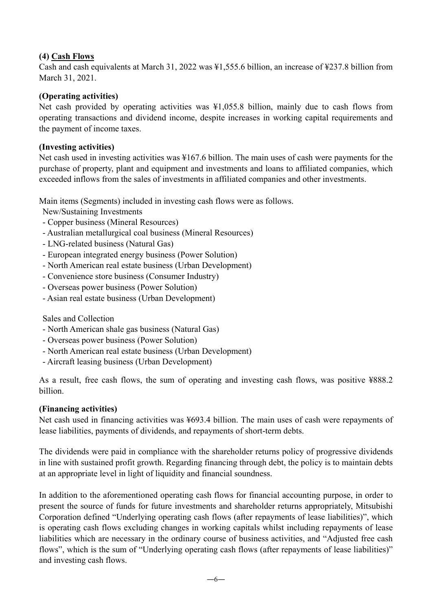#### **(4) Cash Flows**

Cash and cash equivalents at March 31, 2022 was ¥1,555.6 billion, an increase of ¥237.8 billion from March 31, 2021.

#### **(Operating activities)**

Net cash provided by operating activities was ¥1,055.8 billion, mainly due to cash flows from operating transactions and dividend income, despite increases in working capital requirements and the payment of income taxes.

#### **(Investing activities)**

Net cash used in investing activities was ¥167.6 billion. The main uses of cash were payments for the purchase of property, plant and equipment and investments and loans to affiliated companies, which exceeded inflows from the sales of investments in affiliated companies and other investments.

Main items (Segments) included in investing cash flows were as follows.

New/Sustaining Investments

- Copper business (Mineral Resources)
- Australian metallurgical coal business (Mineral Resources)
- LNG-related business (Natural Gas)
- European integrated energy business (Power Solution)
- North American real estate business (Urban Development)
- Convenience store business (Consumer Industry)
- Overseas power business (Power Solution)
- Asian real estate business (Urban Development)

Sales and Collection

- North American shale gas business (Natural Gas)
- Overseas power business (Power Solution)
- North American real estate business (Urban Development)
- Aircraft leasing business (Urban Development)

As a result, free cash flows, the sum of operating and investing cash flows, was positive ¥888.2 billion.

#### **(Financing activities)**

Net cash used in financing activities was ¥693.4 billion. The main uses of cash were repayments of lease liabilities, payments of dividends, and repayments of short-term debts.

The dividends were paid in compliance with the shareholder returns policy of progressive dividends in line with sustained profit growth. Regarding financing through debt, the policy is to maintain debts at an appropriate level in light of liquidity and financial soundness.

In addition to the aforementioned operating cash flows for financial accounting purpose, in order to present the source of funds for future investments and shareholder returns appropriately, Mitsubishi Corporation defined "Underlying operating cash flows (after repayments of lease liabilities)", which is operating cash flows excluding changes in working capitals whilst including repayments of lease liabilities which are necessary in the ordinary course of business activities, and "Adjusted free cash flows", which is the sum of "Underlying operating cash flows (after repayments of lease liabilities)" and investing cash flows.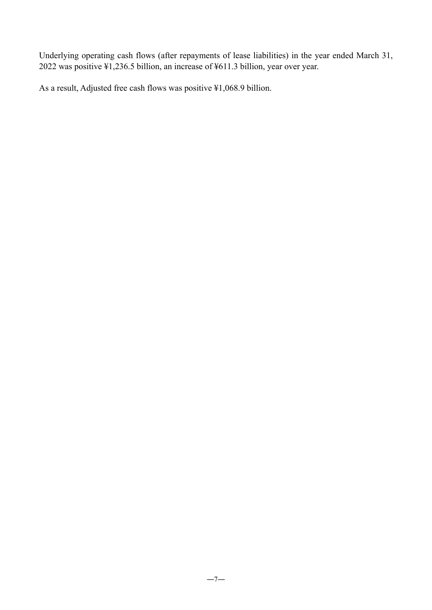Underlying operating cash flows (after repayments of lease liabilities) in the year ended March 31, 2022 was positive ¥1,236.5 billion, an increase of ¥611.3 billion, year over year.

As a result, Adjusted free cash flows was positive ¥1,068.9 billion.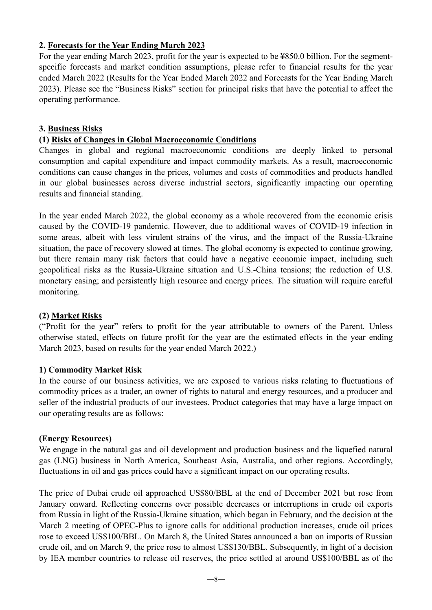#### **2. Forecasts for the Year Ending March 2023**

For the year ending March 2023, profit for the year is expected to be ¥850.0 billion. For the segmentspecific forecasts and market condition assumptions, please refer to financial results for the year ended March 2022 (Results for the Year Ended March 2022 and Forecasts for the Year Ending March 2023). Please see the "Business Risks" section for principal risks that have the potential to affect the operating performance.

#### **3. Business Risks**

#### **(1) Risks of Changes in Global Macroeconomic Conditions**

Changes in global and regional macroeconomic conditions are deeply linked to personal consumption and capital expenditure and impact commodity markets. As a result, macroeconomic conditions can cause changes in the prices, volumes and costs of commodities and products handled in our global businesses across diverse industrial sectors, significantly impacting our operating results and financial standing.

In the year ended March 2022, the global economy as a whole recovered from the economic crisis caused by the COVID-19 pandemic. However, due to additional waves of COVID-19 infection in some areas, albeit with less virulent strains of the virus, and the impact of the Russia-Ukraine situation, the pace of recovery slowed at times. The global economy is expected to continue growing, but there remain many risk factors that could have a negative economic impact, including such geopolitical risks as the Russia-Ukraine situation and U.S.-China tensions; the reduction of U.S. monetary easing; and persistently high resource and energy prices. The situation will require careful monitoring.

#### **(2) Market Risks**

("Profit for the year" refers to profit for the year attributable to owners of the Parent. Unless otherwise stated, effects on future profit for the year are the estimated effects in the year ending March 2023, based on results for the year ended March 2022.)

#### **1) Commodity Market Risk**

In the course of our business activities, we are exposed to various risks relating to fluctuations of commodity prices as a trader, an owner of rights to natural and energy resources, and a producer and seller of the industrial products of our investees. Product categories that may have a large impact on our operating results are as follows:

#### **(Energy Resources)**

We engage in the natural gas and oil development and production business and the liquefied natural gas (LNG) business in North America, Southeast Asia, Australia, and other regions. Accordingly, fluctuations in oil and gas prices could have a significant impact on our operating results.

The price of Dubai crude oil approached US\$80/BBL at the end of December 2021 but rose from January onward. Reflecting concerns over possible decreases or interruptions in crude oil exports from Russia in light of the Russia-Ukraine situation, which began in February, and the decision at the March 2 meeting of OPEC-Plus to ignore calls for additional production increases, crude oil prices rose to exceed US\$100/BBL. On March 8, the United States announced a ban on imports of Russian crude oil, and on March 9, the price rose to almost US\$130/BBL. Subsequently, in light of a decision by IEA member countries to release oil reserves, the price settled at around US\$100/BBL as of the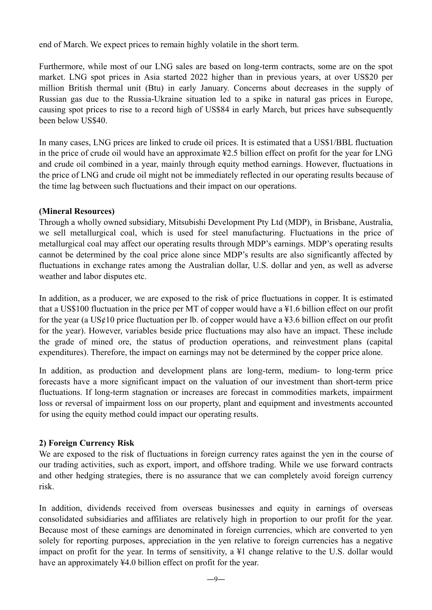end of March. We expect prices to remain highly volatile in the short term.

Furthermore, while most of our LNG sales are based on long-term contracts, some are on the spot market. LNG spot prices in Asia started 2022 higher than in previous years, at over US\$20 per million British thermal unit (Btu) in early January. Concerns about decreases in the supply of Russian gas due to the Russia-Ukraine situation led to a spike in natural gas prices in Europe, causing spot prices to rise to a record high of US\$84 in early March, but prices have subsequently been below US\$40.

In many cases, LNG prices are linked to crude oil prices. It is estimated that a US\$1/BBL fluctuation in the price of crude oil would have an approximate ¥2.5 billion effect on profit for the year for LNG and crude oil combined in a year, mainly through equity method earnings. However, fluctuations in the price of LNG and crude oil might not be immediately reflected in our operating results because of the time lag between such fluctuations and their impact on our operations.

#### **(Mineral Resources)**

Through a wholly owned subsidiary, Mitsubishi Development Pty Ltd (MDP), in Brisbane, Australia, we sell metallurgical coal, which is used for steel manufacturing. Fluctuations in the price of metallurgical coal may affect our operating results through MDP's earnings. MDP's operating results cannot be determined by the coal price alone since MDP's results are also significantly affected by fluctuations in exchange rates among the Australian dollar, U.S. dollar and yen, as well as adverse weather and labor disputes etc.

In addition, as a producer, we are exposed to the risk of price fluctuations in copper. It is estimated that a US\$100 fluctuation in the price per MT of copper would have a ¥1.6 billion effect on our profit for the year (a  $US\ell 10$  price fluctuation per lb. of copper would have a ¥3.6 billion effect on our profit for the year). However, variables beside price fluctuations may also have an impact. These include the grade of mined ore, the status of production operations, and reinvestment plans (capital expenditures). Therefore, the impact on earnings may not be determined by the copper price alone.

In addition, as production and development plans are long-term, medium- to long-term price forecasts have a more significant impact on the valuation of our investment than short-term price fluctuations. If long-term stagnation or increases are forecast in commodities markets, impairment loss or reversal of impairment loss on our property, plant and equipment and investments accounted for using the equity method could impact our operating results.

#### **2) Foreign Currency Risk**

We are exposed to the risk of fluctuations in foreign currency rates against the yen in the course of our trading activities, such as export, import, and offshore trading. While we use forward contracts and other hedging strategies, there is no assurance that we can completely avoid foreign currency risk.

In addition, dividends received from overseas businesses and equity in earnings of overseas consolidated subsidiaries and affiliates are relatively high in proportion to our profit for the year. Because most of these earnings are denominated in foreign currencies, which are converted to yen solely for reporting purposes, appreciation in the yen relative to foreign currencies has a negative impact on profit for the year. In terms of sensitivity, a ¥1 change relative to the U.S. dollar would have an approximately ¥4.0 billion effect on profit for the year.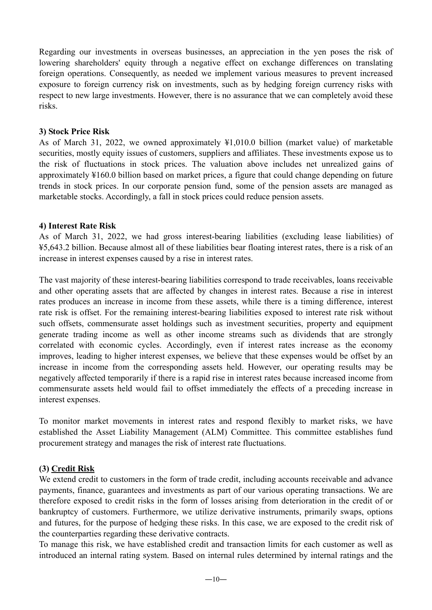Regarding our investments in overseas businesses, an appreciation in the yen poses the risk of lowering shareholders' equity through a negative effect on exchange differences on translating foreign operations. Consequently, as needed we implement various measures to prevent increased exposure to foreign currency risk on investments, such as by hedging foreign currency risks with respect to new large investments. However, there is no assurance that we can completely avoid these risks.

#### **3) Stock Price Risk**

As of March 31, 2022, we owned approximately ¥1,010.0 billion (market value) of marketable securities, mostly equity issues of customers, suppliers and affiliates. These investments expose us to the risk of fluctuations in stock prices. The valuation above includes net unrealized gains of approximately ¥160.0 billion based on market prices, a figure that could change depending on future trends in stock prices. In our corporate pension fund, some of the pension assets are managed as marketable stocks. Accordingly, a fall in stock prices could reduce pension assets.

#### **4) Interest Rate Risk**

As of March 31, 2022, we had gross interest-bearing liabilities (excluding lease liabilities) of ¥5,643.2 billion. Because almost all of these liabilities bear floating interest rates, there is a risk of an increase in interest expenses caused by a rise in interest rates.

The vast majority of these interest-bearing liabilities correspond to trade receivables, loans receivable and other operating assets that are affected by changes in interest rates. Because a rise in interest rates produces an increase in income from these assets, while there is a timing difference, interest rate risk is offset. For the remaining interest-bearing liabilities exposed to interest rate risk without such offsets, commensurate asset holdings such as investment securities, property and equipment generate trading income as well as other income streams such as dividends that are strongly correlated with economic cycles. Accordingly, even if interest rates increase as the economy improves, leading to higher interest expenses, we believe that these expenses would be offset by an increase in income from the corresponding assets held. However, our operating results may be negatively affected temporarily if there is a rapid rise in interest rates because increased income from commensurate assets held would fail to offset immediately the effects of a preceding increase in interest expenses.

To monitor market movements in interest rates and respond flexibly to market risks, we have established the Asset Liability Management (ALM) Committee. This committee establishes fund procurement strategy and manages the risk of interest rate fluctuations.

#### **(3) Credit Risk**

We extend credit to customers in the form of trade credit, including accounts receivable and advance payments, finance, guarantees and investments as part of our various operating transactions. We are therefore exposed to credit risks in the form of losses arising from deterioration in the credit of or bankruptcy of customers. Furthermore, we utilize derivative instruments, primarily swaps, options and futures, for the purpose of hedging these risks. In this case, we are exposed to the credit risk of the counterparties regarding these derivative contracts.

To manage this risk, we have established credit and transaction limits for each customer as well as introduced an internal rating system. Based on internal rules determined by internal ratings and the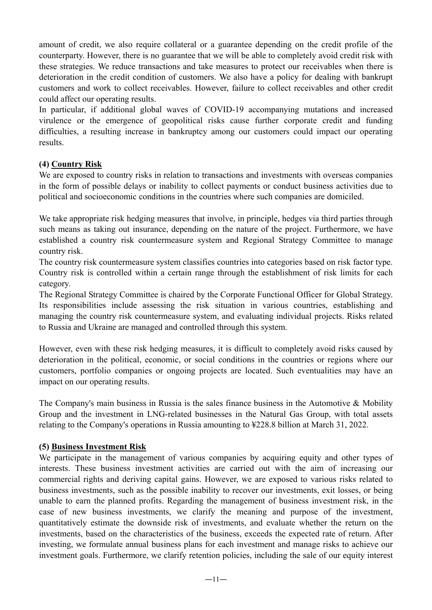amount of credit, we also require collateral or a guarantee depending on the credit profile of the counterparty. However, there is no guarantee that we will be able to completely avoid credit risk with these strategies. We reduce transactions and take measures to protect our receivables when there is deterioration in the credit condition of customers. We also have a policy for dealing with bankrupt customers and work to collect receivables. However, failure to collect receivables and other credit could affect our operating results.

In particular, if additional global waves of COVID-19 accompanying mutations and increased virulence or the emergence of geopolitical risks cause further corporate credit and funding difficulties, a resulting increase in bankruptcy among our customers could impact our operating results.

#### **(4) Country Risk**

We are exposed to country risks in relation to transactions and investments with overseas companies in the form of possible delays or inability to collect payments or conduct business activities due to political and socioeconomic conditions in the countries where such companies are domiciled.

We take appropriate risk hedging measures that involve, in principle, hedges via third parties through such means as taking out insurance, depending on the nature of the project. Furthermore, we have established a country risk countermeasure system and Regional Strategy Committee to manage country risk.

The country risk countermeasure system classifies countries into categories based on risk factor type. Country risk is controlled within a certain range through the establishment of risk limits for each category.

The Regional Strategy Committee is chaired by the Corporate Functional Officer for Global Strategy. Its responsibilities include assessing the risk situation in various countries, establishing and managing the country risk countermeasure system, and evaluating individual projects. Risks related to Russia and Ukraine are managed and controlled through this system.

However, even with these risk hedging measures, it is difficult to completely avoid risks caused by deterioration in the political, economic, or social conditions in the countries or regions where our customers, portfolio companies or ongoing projects are located. Such eventualities may have an impact on our operating results.

The Company's main business in Russia is the sales finance business in the Automotive & Mobility Group and the investment in LNG-related businesses in the Natural Gas Group, with total assets relating to the Company's operations in Russia amounting to ¥228.8 billion at March 31, 2022.

#### **(5) Business Investment Risk**

We participate in the management of various companies by acquiring equity and other types of interests. These business investment activities are carried out with the aim of increasing our commercial rights and deriving capital gains. However, we are exposed to various risks related to business investments, such as the possible inability to recover our investments, exit losses, or being unable to earn the planned profits. Regarding the management of business investment risk, in the case of new business investments, we clarify the meaning and purpose of the investment, quantitatively estimate the downside risk of investments, and evaluate whether the return on the investments, based on the characteristics of the business, exceeds the expected rate of return. After investing, we formulate annual business plans for each investment and manage risks to achieve our investment goals. Furthermore, we clarify retention policies, including the sale of our equity interest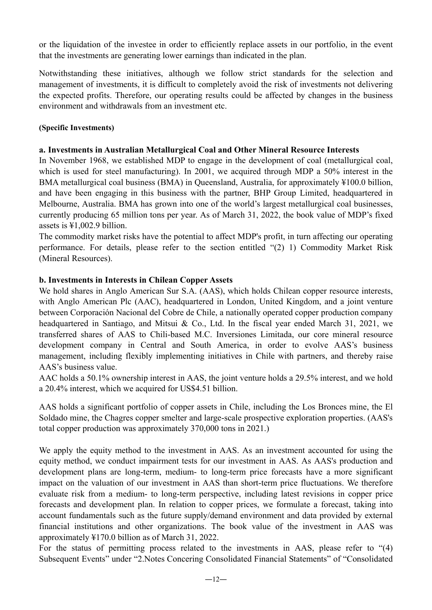or the liquidation of the investee in order to efficiently replace assets in our portfolio, in the event that the investments are generating lower earnings than indicated in the plan.

Notwithstanding these initiatives, although we follow strict standards for the selection and management of investments, it is difficult to completely avoid the risk of investments not delivering the expected profits. Therefore, our operating results could be affected by changes in the business environment and withdrawals from an investment etc.

#### **(Specific Investments)**

#### **a. Investments in Australian Metallurgical Coal and Other Mineral Resource Interests**

In November 1968, we established MDP to engage in the development of coal (metallurgical coal, which is used for steel manufacturing). In 2001, we acquired through MDP a 50% interest in the BMA metallurgical coal business (BMA) in Queensland, Australia, for approximately ¥100.0 billion, and have been engaging in this business with the partner, BHP Group Limited, headquartered in Melbourne, Australia. BMA has grown into one of the world's largest metallurgical coal businesses, currently producing 65 million tons per year. As of March 31, 2022, the book value of MDP's fixed assets is ¥1,002.9 billion.

The commodity market risks have the potential to affect MDP's profit, in turn affecting our operating performance. For details, please refer to the section entitled "(2) 1) Commodity Market Risk (Mineral Resources).

#### **b. Investments in Interests in Chilean Copper Assets**

We hold shares in Anglo American Sur S.A. (AAS), which holds Chilean copper resource interests, with Anglo American Plc (AAC), headquartered in London, United Kingdom, and a joint venture between Corporación Nacional del Cobre de Chile, a nationally operated copper production company headquartered in Santiago, and Mitsui & Co., Ltd. In the fiscal year ended March 31, 2021, we transferred shares of AAS to Chili-based M.C. Inversiones Limitada, our core mineral resource development company in Central and South America, in order to evolve AAS's business management, including flexibly implementing initiatives in Chile with partners, and thereby raise AAS's business value.

AAC holds a 50.1% ownership interest in AAS, the joint venture holds a 29.5% interest, and we hold a 20.4% interest, which we acquired for US\$4.51 billion.

AAS holds a significant portfolio of copper assets in Chile, including the Los Bronces mine, the El Soldado mine, the Chagres copper smelter and large-scale prospective exploration properties. (AAS's total copper production was approximately 370,000 tons in 2021.)

We apply the equity method to the investment in AAS. As an investment accounted for using the equity method, we conduct impairment tests for our investment in AAS. As AAS's production and development plans are long-term, medium- to long-term price forecasts have a more significant impact on the valuation of our investment in AAS than short-term price fluctuations. We therefore evaluate risk from a medium- to long-term perspective, including latest revisions in copper price forecasts and development plan. In relation to copper prices, we formulate a forecast, taking into account fundamentals such as the future supply/demand environment and data provided by external financial institutions and other organizations. The book value of the investment in AAS was approximately ¥170.0 billion as of March 31, 2022.

For the status of permitting process related to the investments in AAS, please refer to "(4) Subsequent Events" under "2.Notes Concering Consolidated Financial Statements" of "Consolidated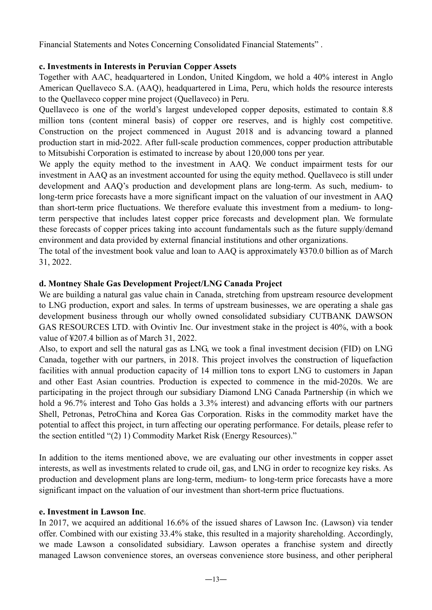Financial Statements and Notes Concerning Consolidated Financial Statements" .

#### **c. Investments in Interests in Peruvian Copper Assets**

Together with AAC, headquartered in London, United Kingdom, we hold a 40% interest in Anglo American Quellaveco S.A. (AAQ), headquartered in Lima, Peru, which holds the resource interests to the Quellaveco copper mine project (Quellaveco) in Peru.

Quellaveco is one of the world's largest undeveloped copper deposits, estimated to contain 8.8 million tons (content mineral basis) of copper ore reserves, and is highly cost competitive. Construction on the project commenced in August 2018 and is advancing toward a planned production start in mid-2022. After full-scale production commences, copper production attributable to Mitsubishi Corporation is estimated to increase by about 120,000 tons per year.

We apply the equity method to the investment in AAO. We conduct impairment tests for our investment in AAQ as an investment accounted for using the equity method. Quellaveco is still under development and AAQ's production and development plans are long-term. As such, medium- to long-term price forecasts have a more significant impact on the valuation of our investment in AAQ than short-term price fluctuations. We therefore evaluate this investment from a medium- to longterm perspective that includes latest copper price forecasts and development plan. We formulate these forecasts of copper prices taking into account fundamentals such as the future supply/demand environment and data provided by external financial institutions and other organizations.

The total of the investment book value and loan to AAQ is approximately ¥370.0 billion as of March 31, 2022.

#### **d. Montney Shale Gas Development Project/LNG Canada Project**

We are building a natural gas value chain in Canada, stretching from upstream resource development to LNG production, export and sales. In terms of upstream businesses, we are operating a shale gas development business through our wholly owned consolidated subsidiary CUTBANK DAWSON GAS RESOURCES LTD. with Ovintiv Inc. Our investment stake in the project is 40%, with a book value of ¥207.4 billion as of March 31, 2022.

Also, to export and sell the natural gas as LNG, we took a final investment decision (FID) on LNG Canada, together with our partners, in 2018. This project involves the construction of liquefaction facilities with annual production capacity of 14 million tons to export LNG to customers in Japan and other East Asian countries. Production is expected to commence in the mid-2020s. We are participating in the project through our subsidiary Diamond LNG Canada Partnership (in which we hold a 96.7% interest and Toho Gas holds a 3.3% interest) and advancing efforts with our partners Shell, Petronas, PetroChina and Korea Gas Corporation. Risks in the commodity market have the potential to affect this project, in turn affecting our operating performance. For details, please refer to the section entitled "(2) 1) Commodity Market Risk (Energy Resources)."

In addition to the items mentioned above, we are evaluating our other investments in copper asset interests, as well as investments related to crude oil, gas, and LNG in order to recognize key risks. As production and development plans are long-term, medium- to long-term price forecasts have a more significant impact on the valuation of our investment than short-term price fluctuations.

#### **e. Investment in Lawson Inc**.

In 2017, we acquired an additional 16.6% of the issued shares of Lawson Inc. (Lawson) via tender offer. Combined with our existing 33.4% stake, this resulted in a majority shareholding. Accordingly, we made Lawson a consolidated subsidiary. Lawson operates a franchise system and directly managed Lawson convenience stores, an overseas convenience store business, and other peripheral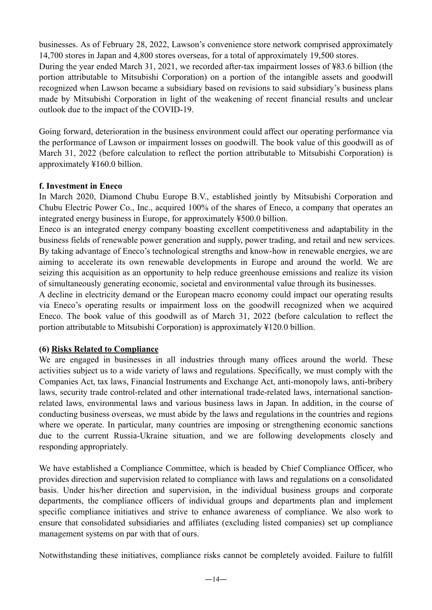businesses. As of February 28, 2022, Lawson's convenience store network comprised approximately 14,700 stores in Japan and 4,800 stores overseas, for a total of approximately 19,500 stores. During the year ended March 31, 2021, we recorded after-tax impairment losses of ¥83.6 billion (the portion attributable to Mitsubishi Corporation) on a portion of the intangible assets and goodwill recognized when Lawson became a subsidiary based on revisions to said subsidiary's business plans made by Mitsubishi Corporation in light of the weakening of recent financial results and unclear outlook due to the impact of the COVID-19.

Going forward, deterioration in the business environment could affect our operating performance via the performance of Lawson or impairment losses on goodwill. The book value of this goodwill as of March 31, 2022 (before calculation to reflect the portion attributable to Mitsubishi Corporation) is approximately ¥160.0 billion.

#### **f. Investment in Eneco**

In March 2020, Diamond Chubu Europe B.V., established jointly by Mitsubishi Corporation and Chubu Electric Power Co., Inc., acquired 100% of the shares of Eneco, a company that operates an integrated energy business in Europe, for approximately ¥500.0 billion.

Eneco is an integrated energy company boasting excellent competitiveness and adaptability in the business fields of renewable power generation and supply, power trading, and retail and new services. By taking advantage of Eneco's technological strengths and know-how in renewable energies, we are aiming to accelerate its own renewable developments in Europe and around the world. We are seizing this acquisition as an opportunity to help reduce greenhouse emissions and realize its vision of simultaneously generating economic, societal and environmental value through its businesses.

A decline in electricity demand or the European macro economy could impact our operating results via Eneco's operating results or impairment loss on the goodwill recognized when we acquired Eneco. The book value of this goodwill as of March 31, 2022 (before calculation to reflect the portion attributable to Mitsubishi Corporation) is approximately ¥120.0 billion.

#### **(6) Risks Related to Compliance**

We are engaged in businesses in all industries through many offices around the world. These activities subject us to a wide variety of laws and regulations. Specifically, we must comply with the Companies Act, tax laws, Financial Instruments and Exchange Act, anti-monopoly laws, anti-bribery laws, security trade control-related and other international trade-related laws, international sanctionrelated laws, environmental laws and various business laws in Japan. In addition, in the course of conducting business overseas, we must abide by the laws and regulations in the countries and regions where we operate. In particular, many countries are imposing or strengthening economic sanctions due to the current Russia-Ukraine situation, and we are following developments closely and responding appropriately.

We have established a Compliance Committee, which is headed by Chief Compliance Officer, who provides direction and supervision related to compliance with laws and regulations on a consolidated basis. Under his/her direction and supervision, in the individual business groups and corporate departments, the compliance officers of individual groups and departments plan and implement specific compliance initiatives and strive to enhance awareness of compliance. We also work to ensure that consolidated subsidiaries and affiliates (excluding listed companies) set up compliance management systems on par with that of ours.

Notwithstanding these initiatives, compliance risks cannot be completely avoided. Failure to fulfill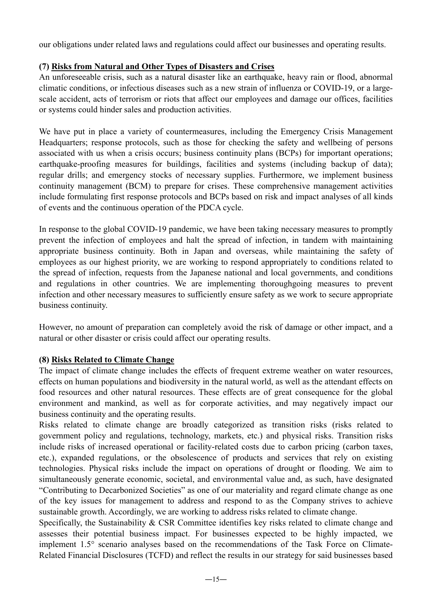our obligations under related laws and regulations could affect our businesses and operating results.

### **(7) Risks from Natural and Other Types of Disasters and Crises**

An unforeseeable crisis, such as a natural disaster like an earthquake, heavy rain or flood, abnormal climatic conditions, or infectious diseases such as a new strain of influenza or COVID-19, or a largescale accident, acts of terrorism or riots that affect our employees and damage our offices, facilities or systems could hinder sales and production activities.

We have put in place a variety of countermeasures, including the Emergency Crisis Management Headquarters; response protocols, such as those for checking the safety and wellbeing of persons associated with us when a crisis occurs; business continuity plans (BCPs) for important operations; earthquake-proofing measures for buildings, facilities and systems (including backup of data); regular drills; and emergency stocks of necessary supplies. Furthermore, we implement business continuity management (BCM) to prepare for crises. These comprehensive management activities include formulating first response protocols and BCPs based on risk and impact analyses of all kinds of events and the continuous operation of the PDCA cycle.

In response to the global COVID-19 pandemic, we have been taking necessary measures to promptly prevent the infection of employees and halt the spread of infection, in tandem with maintaining appropriate business continuity. Both in Japan and overseas, while maintaining the safety of employees as our highest priority, we are working to respond appropriately to conditions related to the spread of infection, requests from the Japanese national and local governments, and conditions and regulations in other countries. We are implementing thoroughgoing measures to prevent infection and other necessary measures to sufficiently ensure safety as we work to secure appropriate business continuity.

However, no amount of preparation can completely avoid the risk of damage or other impact, and a natural or other disaster or crisis could affect our operating results.

#### **(8) Risks Related to Climate Change**

The impact of climate change includes the effects of frequent extreme weather on water resources, effects on human populations and biodiversity in the natural world, as well as the attendant effects on food resources and other natural resources. These effects are of great consequence for the global environment and mankind, as well as for corporate activities, and may negatively impact our business continuity and the operating results.

Risks related to climate change are broadly categorized as transition risks (risks related to government policy and regulations, technology, markets, etc.) and physical risks. Transition risks include risks of increased operational or facility-related costs due to carbon pricing (carbon taxes, etc.), expanded regulations, or the obsolescence of products and services that rely on existing technologies. Physical risks include the impact on operations of drought or flooding. We aim to simultaneously generate economic, societal, and environmental value and, as such, have designated "Contributing to Decarbonized Societies" as one of our materiality and regard climate change as one of the key issues for management to address and respond to as the Company strives to achieve sustainable growth. Accordingly, we are working to address risks related to climate change.

Specifically, the Sustainability & CSR Committee identifies key risks related to climate change and assesses their potential business impact. For businesses expected to be highly impacted, we implement 1.5° scenario analyses based on the recommendations of the Task Force on Climate-Related Financial Disclosures (TCFD) and reflect the results in our strategy for said businesses based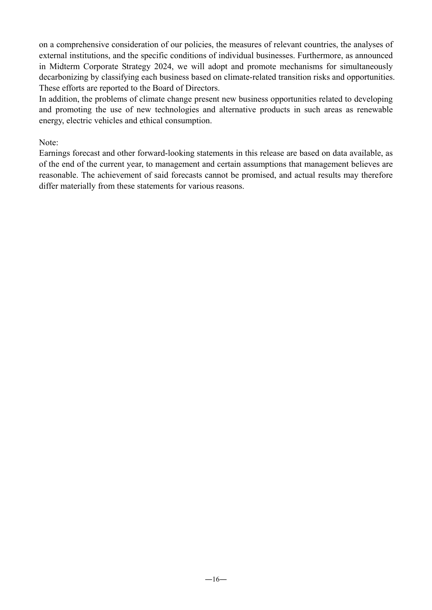on a comprehensive consideration of our policies, the measures of relevant countries, the analyses of external institutions, and the specific conditions of individual businesses. Furthermore, as announced in Midterm Corporate Strategy 2024, we will adopt and promote mechanisms for simultaneously decarbonizing by classifying each business based on climate-related transition risks and opportunities. These efforts are reported to the Board of Directors.

In addition, the problems of climate change present new business opportunities related to developing and promoting the use of new technologies and alternative products in such areas as renewable energy, electric vehicles and ethical consumption.

Note:

Earnings forecast and other forward-looking statements in this release are based on data available, as of the end of the current year, to management and certain assumptions that management believes are reasonable. The achievement of said forecasts cannot be promised, and actual results may therefore differ materially from these statements for various reasons.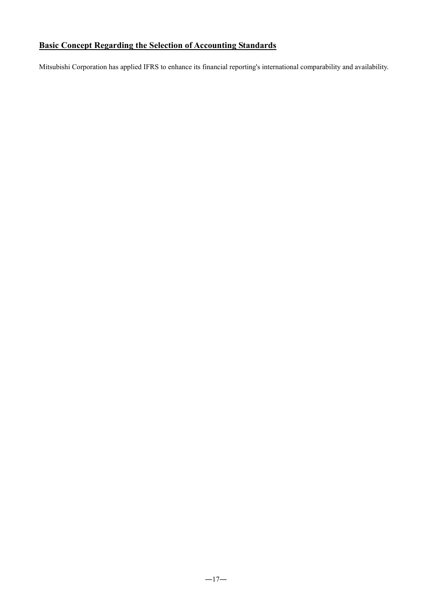## **Basic Concept Regarding the Selection of Accounting Standards**

Mitsubishi Corporation has applied IFRS to enhance its financial reporting's international comparability and availability.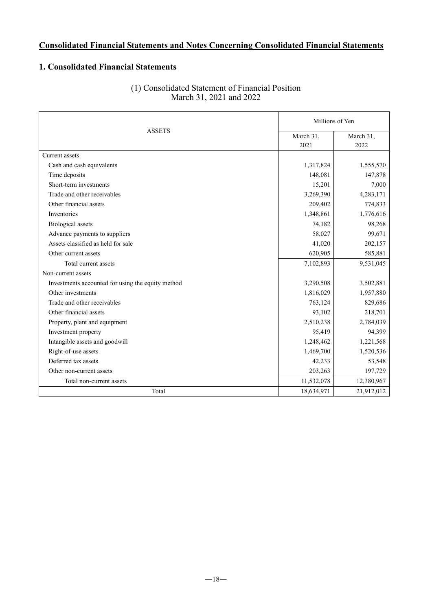### **Consolidated Financial Statements and Notes Concerning Consolidated Financial Statements**

#### **1. Consolidated Financial Statements**

|                                                   | Millions of Yen   |                   |  |
|---------------------------------------------------|-------------------|-------------------|--|
| <b>ASSETS</b>                                     | March 31,<br>2021 | March 31,<br>2022 |  |
| Current assets                                    |                   |                   |  |
| Cash and cash equivalents                         | 1,317,824         | 1,555,570         |  |
| Time deposits                                     | 148,081           | 147,878           |  |
| Short-term investments                            | 15,201            | 7,000             |  |
| Trade and other receivables                       | 3,269,390         | 4,283,171         |  |
| Other financial assets                            | 209,402           | 774,833           |  |
| Inventories                                       | 1,348,861         | 1,776,616         |  |
| <b>Biological</b> assets                          | 74,182            | 98,268            |  |
| Advance payments to suppliers                     | 58,027            | 99,671            |  |
| Assets classified as held for sale                | 41,020            | 202,157           |  |
| Other current assets                              | 620,905           | 585,881           |  |
| Total current assets                              | 7,102,893         | 9,531,045         |  |
| Non-current assets                                |                   |                   |  |
| Investments accounted for using the equity method | 3,290,508         | 3,502,881         |  |
| Other investments                                 | 1,816,029         | 1,957,880         |  |
| Trade and other receivables                       | 763,124           | 829,686           |  |
| Other financial assets                            | 93,102            | 218,701           |  |
| Property, plant and equipment                     | 2,510,238         | 2,784,039         |  |
| Investment property                               | 95,419            | 94,399            |  |
| Intangible assets and goodwill                    | 1,248,462         | 1,221,568         |  |
| Right-of-use assets                               | 1,469,700         | 1,520,536         |  |
| Deferred tax assets                               | 42,233            | 53,548            |  |
| Other non-current assets                          | 203,263           | 197,729           |  |
| Total non-current assets                          | 11,532,078        | 12,380,967        |  |
| Total                                             | 18,634,971        | 21,912,012        |  |

#### (1) Consolidated Statement of Financial Position March 31, 2021 and 2022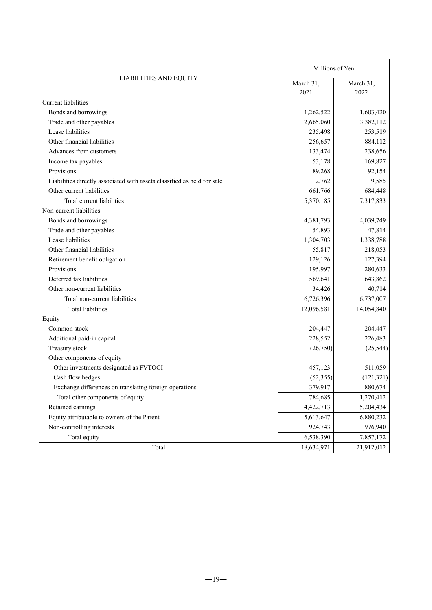|                                                                         | Millions of Yen   |                   |
|-------------------------------------------------------------------------|-------------------|-------------------|
| <b>LIABILITIES AND EQUITY</b>                                           | March 31,<br>2021 | March 31,<br>2022 |
| <b>Current</b> liabilities                                              |                   |                   |
| Bonds and borrowings                                                    | 1,262,522         | 1,603,420         |
| Trade and other payables                                                | 2,665,060         | 3,382,112         |
| Lease liabilities                                                       | 235,498           | 253,519           |
| Other financial liabilities                                             | 256,657           | 884,112           |
| Advances from customers                                                 | 133,474           | 238,656           |
| Income tax payables                                                     | 53,178            | 169,827           |
| Provisions                                                              | 89,268            | 92,154            |
| Liabilities directly associated with assets classified as held for sale | 12,762            | 9,585             |
| Other current liabilities                                               | 661,766           | 684,448           |
| Total current liabilities                                               | 5,370,185         | 7,317,833         |
| Non-current liabilities                                                 |                   |                   |
| Bonds and borrowings                                                    | 4,381,793         | 4,039,749         |
| Trade and other payables                                                | 54,893            | 47,814            |
| Lease liabilities                                                       | 1,304,703         | 1,338,788         |
| Other financial liabilities                                             | 55,817            | 218,053           |
| Retirement benefit obligation                                           | 129,126           | 127,394           |
| Provisions                                                              | 195,997           | 280,633           |
| Deferred tax liabilities                                                | 569,641           | 643,862           |
| Other non-current liabilities                                           | 34,426            | 40,714            |
| Total non-current liabilities                                           | 6,726,396         | 6,737,007         |
| Total liabilities                                                       | 12,096,581        | 14,054,840        |
| Equity                                                                  |                   |                   |
| Common stock                                                            | 204,447           | 204,447           |
| Additional paid-in capital                                              | 228,552           | 226,483           |
| Treasury stock                                                          | (26,750)          | (25, 544)         |
| Other components of equity                                              |                   |                   |
| Other investments designated as FVTOCI                                  | 457,123           | 511,059           |
| Cash flow hedges                                                        | (52, 355)         | (121, 321)        |
| Exchange differences on translating foreign operations                  | 379,917           | 880,674           |
| Total other components of equity                                        | 784,685           | 1,270,412         |
| Retained earnings                                                       | 4,422,713         | 5,204,434         |
| Equity attributable to owners of the Parent                             | 5,613,647         | 6,880,232         |
| Non-controlling interests                                               | 924,743           | 976,940           |
| Total equity                                                            | 6,538,390         | 7,857,172         |
| Total                                                                   | 18,634,971        | 21,912,012        |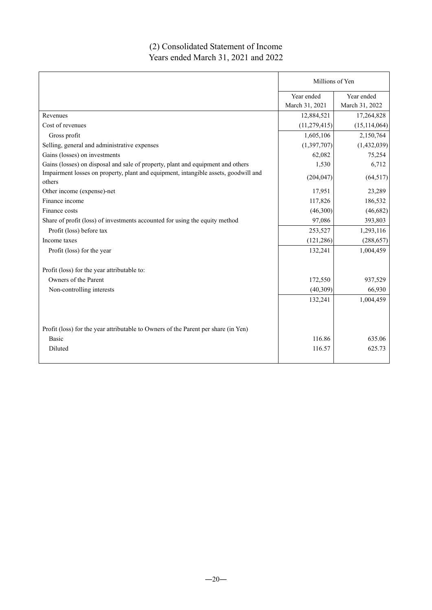### (2) Consolidated Statement of Income Years ended March 31, 2021 and 2022

|                                                                                               | Millions of Yen              |                              |
|-----------------------------------------------------------------------------------------------|------------------------------|------------------------------|
|                                                                                               | Year ended<br>March 31, 2021 | Year ended<br>March 31, 2022 |
| Revenues                                                                                      | 12,884,521                   | 17,264,828                   |
| Cost of revenues                                                                              | (11, 279, 415)               | (15, 114, 064)               |
| Gross profit                                                                                  | 1,605,106                    | 2,150,764                    |
| Selling, general and administrative expenses                                                  | (1,397,707)                  | (1,432,039)                  |
| Gains (losses) on investments                                                                 | 62,082                       | 75,254                       |
| Gains (losses) on disposal and sale of property, plant and equipment and others               | 1,530                        | 6,712                        |
| Impairment losses on property, plant and equipment, intangible assets, goodwill and<br>others | (204, 047)                   | (64, 517)                    |
| Other income (expense)-net                                                                    | 17,951                       | 23,289                       |
| Finance income                                                                                | 117,826                      | 186,532                      |
| Finance costs                                                                                 | (46,300)                     | (46,682)                     |
| Share of profit (loss) of investments accounted for using the equity method                   | 97,086                       | 393,803                      |
| Profit (loss) before tax                                                                      | 253,527                      | 1,293,116                    |
| Income taxes                                                                                  | (121, 286)                   | (288, 657)                   |
| Profit (loss) for the year                                                                    | 132,241                      | 1,004,459                    |
| Profit (loss) for the year attributable to:                                                   |                              |                              |
| Owners of the Parent                                                                          | 172,550                      | 937,529                      |
| Non-controlling interests                                                                     | (40, 309)                    | 66,930                       |
|                                                                                               | 132,241                      | 1,004,459                    |
| Profit (loss) for the year attributable to Owners of the Parent per share (in Yen)            |                              |                              |
| Basic                                                                                         | 116.86                       | 635.06                       |
| Diluted                                                                                       | 116.57                       | 625.73                       |
|                                                                                               |                              |                              |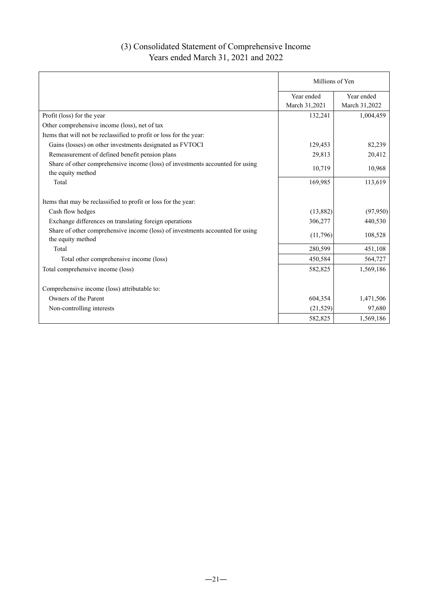### (3) Consolidated Statement of Comprehensive Income Years ended March 31, 2021 and 2022

|                                                                                                    | Millions of Yen |               |
|----------------------------------------------------------------------------------------------------|-----------------|---------------|
|                                                                                                    | Year ended      | Year ended    |
|                                                                                                    | March 31,2021   | March 31,2022 |
| Profit (loss) for the year                                                                         | 132,241         | 1,004,459     |
| Other comprehensive income (loss), net of tax                                                      |                 |               |
| Items that will not be reclassified to profit or loss for the year:                                |                 |               |
| Gains (losses) on other investments designated as FVTOCI                                           | 129,453         | 82,239        |
| Remeasurement of defined benefit pension plans                                                     | 29,813          | 20,412        |
| Share of other comprehensive income (loss) of investments accounted for using<br>the equity method | 10,719          | 10,968        |
| Total                                                                                              | 169,985         | 113,619       |
|                                                                                                    |                 |               |
| Items that may be reclassified to profit or loss for the year:                                     |                 |               |
| Cash flow hedges                                                                                   | (13,882)        | (97, 950)     |
| Exchange differences on translating foreign operations                                             | 306,277         | 440,530       |
| Share of other comprehensive income (loss) of investments accounted for using<br>the equity method | (11,796)        | 108,528       |
| Total                                                                                              | 280,599         | 451,108       |
| Total other comprehensive income (loss)                                                            | 450,584         | 564,727       |
| Total comprehensive income (loss)                                                                  | 582,825         | 1,569,186     |
|                                                                                                    |                 |               |
| Comprehensive income (loss) attributable to:                                                       |                 |               |
| Owners of the Parent                                                                               | 604,354         | 1,471,506     |
| Non-controlling interests                                                                          | (21, 529)       | 97,680        |
|                                                                                                    | 582,825         | 1,569,186     |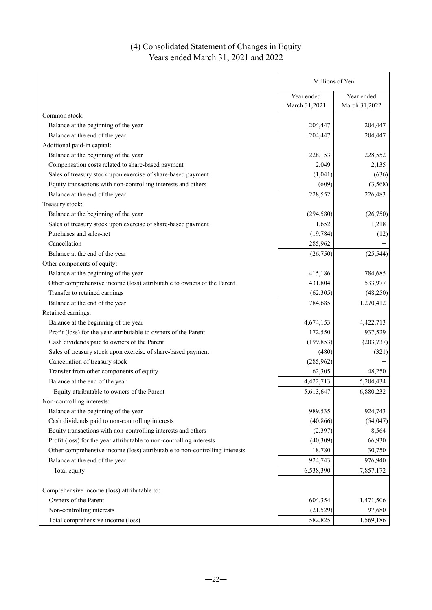### (4) Consolidated Statement of Changes in Equity Years ended March 31, 2021 and 2022

|                                                                             | Millions of Yen             |                             |
|-----------------------------------------------------------------------------|-----------------------------|-----------------------------|
|                                                                             | Year ended<br>March 31,2021 | Year ended<br>March 31,2022 |
| Common stock:                                                               |                             |                             |
| Balance at the beginning of the year                                        | 204,447                     | 204,447                     |
| Balance at the end of the year                                              | 204,447                     | 204,447                     |
| Additional paid-in capital:                                                 |                             |                             |
| Balance at the beginning of the year                                        | 228,153                     | 228,552                     |
| Compensation costs related to share-based payment                           | 2,049                       | 2,135                       |
| Sales of treasury stock upon exercise of share-based payment                | (1,041)                     | (636)                       |
| Equity transactions with non-controlling interests and others               | (609)                       | (3, 568)                    |
| Balance at the end of the year                                              | 228,552                     | 226,483                     |
| Treasury stock:                                                             |                             |                             |
| Balance at the beginning of the year                                        | (294, 580)                  | (26,750)                    |
| Sales of treasury stock upon exercise of share-based payment                | 1,652                       | 1,218                       |
| Purchases and sales-net                                                     | (19, 784)                   | (12)                        |
| Cancellation                                                                | 285,962                     |                             |
| Balance at the end of the year                                              | (26,750)                    | (25, 544)                   |
| Other components of equity:                                                 |                             |                             |
| Balance at the beginning of the year                                        | 415,186                     | 784,685                     |
| Other comprehensive income (loss) attributable to owners of the Parent      | 431,804                     | 533,977                     |
| Transfer to retained earnings                                               | (62, 305)                   | (48, 250)                   |
| Balance at the end of the year                                              | 784,685                     | 1,270,412                   |
| Retained earnings:                                                          |                             |                             |
| Balance at the beginning of the year                                        | 4,674,153                   | 4,422,713                   |
| Profit (loss) for the year attributable to owners of the Parent             | 172,550                     | 937,529                     |
| Cash dividends paid to owners of the Parent                                 | (199, 853)                  | (203, 737)                  |
| Sales of treasury stock upon exercise of share-based payment                | (480)                       | (321)                       |
| Cancellation of treasury stock                                              | (285,962)                   |                             |
| Transfer from other components of equity                                    | 62,305                      | 48,250                      |
| Balance at the end of the year                                              | 4,422,713                   | 5,204,434                   |
| Equity attributable to owners of the Parent                                 | 5,613,647                   | 6,880,232                   |
| Non-controlling interests:                                                  |                             |                             |
| Balance at the beginning of the year                                        | 989,535                     | 924,743                     |
| Cash dividends paid to non-controlling interests                            | (40, 866)                   | (54, 047)                   |
| Equity transactions with non-controlling interests and others               | (2, 397)                    | 8,564                       |
| Profit (loss) for the year attributable to non-controlling interests        | (40, 309)                   | 66,930                      |
| Other comprehensive income (loss) attributable to non-controlling interests | 18,780                      | 30,750                      |
| Balance at the end of the year                                              | 924,743                     | 976,940                     |
| Total equity                                                                | 6,538,390                   | 7,857,172                   |
|                                                                             |                             |                             |
| Comprehensive income (loss) attributable to:                                |                             |                             |
| Owners of the Parent                                                        | 604,354                     | 1,471,506                   |
| Non-controlling interests                                                   | (21, 529)                   | 97,680                      |
| Total comprehensive income (loss)                                           | 582,825                     | 1,569,186                   |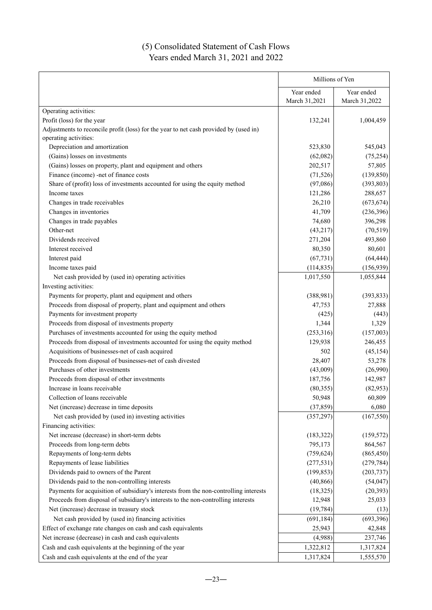### (5) Consolidated Statement of Cash Flows Years ended March 31, 2021 and 2022

|                                                                                       | Millions of Yen |               |
|---------------------------------------------------------------------------------------|-----------------|---------------|
|                                                                                       | Year ended      | Year ended    |
|                                                                                       | March 31,2021   | March 31,2022 |
| Operating activities:                                                                 |                 |               |
| Profit (loss) for the year                                                            | 132,241         | 1,004,459     |
| Adjustments to reconcile profit (loss) for the year to net cash provided by (used in) |                 |               |
| operating activities:                                                                 |                 |               |
| Depreciation and amortization                                                         | 523,830         | 545,043       |
| (Gains) losses on investments                                                         | (62,082)        | (75, 254)     |
| (Gains) losses on property, plant and equipment and others                            | 202,517         | 57,805        |
| Finance (income) -net of finance costs                                                | (71, 526)       | (139, 850)    |
| Share of (profit) loss of investments accounted for using the equity method           | (97,086)        | (393, 803)    |
| Income taxes                                                                          | 121,286         | 288,657       |
| Changes in trade receivables                                                          | 26,210          | (673, 674)    |
| Changes in inventories                                                                | 41,709          | (236, 396)    |
| Changes in trade payables                                                             | 74,680          | 396,298       |
| Other-net                                                                             | (43,217)        | (70, 519)     |
| Dividends received                                                                    | 271,204         | 493,860       |
| Interest received                                                                     | 80,350          | 80,601        |
| Interest paid                                                                         | (67, 731)       | (64, 444)     |
| Income taxes paid                                                                     | (114, 835)      | (156, 939)    |
| Net cash provided by (used in) operating activities                                   | 1,017,550       | 1,055,844     |
| Investing activities:                                                                 |                 |               |
| Payments for property, plant and equipment and others                                 | (388,981)       | (393, 833)    |
| Proceeds from disposal of property, plant and equipment and others                    | 47,753          | 27,888        |
| Payments for investment property                                                      | (425)           | (443)         |
| Proceeds from disposal of investments property                                        | 1,344           | 1,329         |
| Purchases of investments accounted for using the equity method                        | (253,316)       | (157,003)     |
| Proceeds from disposal of investments accounted for using the equity method           | 129,938         | 246,455       |
| Acquisitions of businesses-net of cash acquired                                       | 502             | (45, 154)     |
| Proceeds from disposal of businesses-net of cash divested                             | 28,407          | 53,278        |
| Purchases of other investments                                                        | (43,009)        | (26,990)      |
| Proceeds from disposal of other investments                                           | 187,756         | 142,987       |
| Increase in loans receivable                                                          | (80, 355)       | (82,953)      |
| Collection of loans receivable                                                        | 50,948          | 60,809        |
| Net (increase) decrease in time deposits                                              | (37, 859)       | 6,080         |
| Net cash provided by (used in) investing activities                                   | (357, 297)      | (167, 550)    |
| Financing activities:                                                                 |                 |               |
| Net increase (decrease) in short-term debts                                           | (183, 322)      | (159, 572)    |
| Proceeds from long-term debts                                                         | 795,173         | 864,567       |
| Repayments of long-term debts                                                         | (759, 624)      | (865, 450)    |
| Repayments of lease liabilities                                                       | (277, 531)      | (279, 784)    |
| Dividends paid to owners of the Parent                                                | (199, 853)      | (203, 737)    |
| Dividends paid to the non-controlling interests                                       | (40, 866)       | (54, 047)     |
| Payments for acquisition of subsidiary's interests from the non-controlling interests | (18, 325)       | (20, 393)     |
| Proceeds from disposal of subsidiary's interests to the non-controlling interests     | 12,948          | 25,033        |
| Net (increase) decrease in treasury stock                                             | (19, 784)       | (13)          |
| Net cash provided by (used in) financing activities                                   | (691, 184)      | (693, 396)    |
| Effect of exchange rate changes on cash and cash equivalents                          | 25,943          | 42,848        |
| Net increase (decrease) in cash and cash equivalents                                  | (4,988)         | 237,746       |
| Cash and cash equivalents at the beginning of the year                                | 1,322,812       | 1,317,824     |
| Cash and cash equivalents at the end of the year                                      | 1,317,824       | 1,555,570     |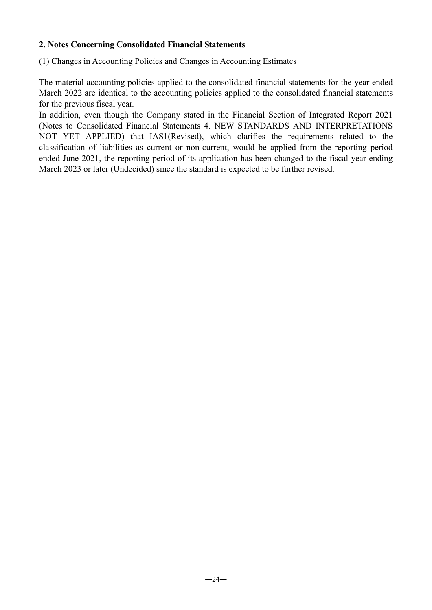#### **2. Notes Concerning Consolidated Financial Statements**

(1) Changes in Accounting Policies and Changes in Accounting Estimates

The material accounting policies applied to the consolidated financial statements for the year ended March 2022 are identical to the accounting policies applied to the consolidated financial statements for the previous fiscal year.

In addition, even though the Company stated in the Financial Section of Integrated Report 2021 (Notes to Consolidated Financial Statements 4. NEW STANDARDS AND INTERPRETATIONS NOT YET APPLIED) that IAS1(Revised), which clarifies the requirements related to the classification of liabilities as current or non-current, would be applied from the reporting period ended June 2021, the reporting period of its application has been changed to the fiscal year ending March 2023 or later (Undecided) since the standard is expected to be further revised.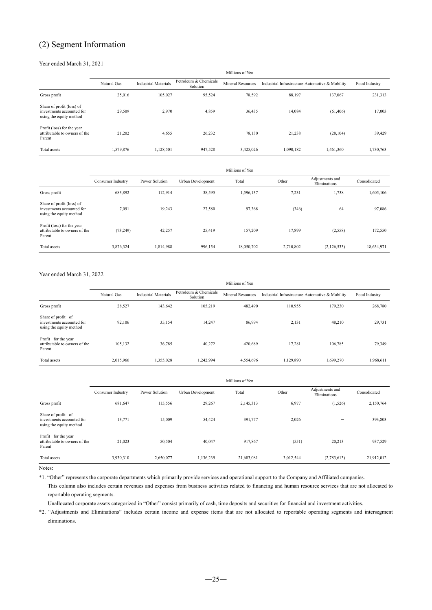### (2) Segment Information

#### Year ended March 31, 2021

|                                                                                   | Millions of Yen |                             |                                   |                          |                                                 |           |               |
|-----------------------------------------------------------------------------------|-----------------|-----------------------------|-----------------------------------|--------------------------|-------------------------------------------------|-----------|---------------|
|                                                                                   | Natural Gas     | <b>Industrial Materials</b> | Petroleum & Chemicals<br>Solution | <b>Mineral Resources</b> | Industrial Infrastructure Automotive & Mobility |           | Food Industry |
| Gross profit                                                                      | 25,016          | 105,027                     | 95,524                            | 78,592                   | 88,197                                          | 137,067   | 231,313       |
| Share of profit (loss) of<br>investments accounted for<br>using the equity method | 29,509          | 2,970                       | 4,859                             | 36,435                   | 14,084                                          | (61, 406) | 17,003        |
| Profit (loss) for the year<br>attributable to owners of the<br>Parent             | 21,202          | 4,655                       | 26,232                            | 78,130                   | 21,238                                          | (28, 104) | 39,429        |
| Total assets                                                                      | 1,579,876       | 1,128,501                   | 947,528                           | 3,425,026                | 1,090,182                                       | 1,461,360 | 1,730,763     |

|                                                                                   |                   | Millions of Yen |                   |            |           |                                 |              |  |
|-----------------------------------------------------------------------------------|-------------------|-----------------|-------------------|------------|-----------|---------------------------------|--------------|--|
|                                                                                   | Consumer Industry | Power Solution  | Urban Development | Total      | Other     | Adjustments and<br>Eliminations | Consolidated |  |
| Gross profit                                                                      | 683,892           | 112,914         | 38,595            | 1,596,137  | 7,231     | 1,738                           | 1,605,106    |  |
| Share of profit (loss) of<br>investments accounted for<br>using the equity method | 7,091             | 19,243          | 27,580            | 97,368     | (346)     | 64                              | 97,086       |  |
| Profit (loss) for the year<br>attributable to owners of the<br>Parent             | (73, 249)         | 42,257          | 25,419            | 157,209    | 17,899    | (2,558)                         | 172,550      |  |
| Total assets                                                                      | 3,876,324         | 1,814,988       | 996,154           | 18,050,702 | 2,710,802 | (2,126,533)                     | 18,634,971   |  |

#### Year ended March 31, 2022

|                                                                            |             | Millions of Yen             |                                   |                          |           |                                                 |               |
|----------------------------------------------------------------------------|-------------|-----------------------------|-----------------------------------|--------------------------|-----------|-------------------------------------------------|---------------|
|                                                                            | Natural Gas | <b>Industrial Materials</b> | Petroleum & Chemicals<br>Solution | <b>Mineral Resources</b> |           | Industrial Infrastructure Automotive & Mobility | Food Industry |
| Gross profit                                                               | 28,527      | 143,642                     | 105,219                           | 482,490                  | 110.955   | 179.230                                         | 268,780       |
| Share of profit of<br>investments accounted for<br>using the equity method | 92.106      | 35,154                      | 14,247                            | 86,994                   | 2,131     | 48,210                                          | 29,731        |
| Profit for the year<br>attributable to owners of the<br>Parent             | 105.132     | 36,785                      | 40,272                            | 420.689                  | 17.281    | 106,785                                         | 79,349        |
| Total assets                                                               | 2,015,966   | 1,355,028                   | 1.242.994                         | 4,554,696                | 1.129.890 | 1.699.270                                       | 1,968,611     |

|                                                                            | Millions of Yen   |                |                   |            |           |                                 |              |
|----------------------------------------------------------------------------|-------------------|----------------|-------------------|------------|-----------|---------------------------------|--------------|
|                                                                            | Consumer Industry | Power Solution | Urban Development | Total      | Other     | Adjustments and<br>Eliminations | Consolidated |
| Gross profit                                                               | 681,647           | 115,556        | 29,267            | 2,145,313  | 6,977     | (1,526)                         | 2,150,764    |
| Share of profit of<br>investments accounted for<br>using the equity method | 13,771            | 15,009         | 54,424            | 391,777    | 2,026     | -                               | 393,803      |
| Profit for the year<br>attributable to owners of the<br>Parent             | 21,023            | 50,504         | 40,047            | 917,867    | (551)     | 20,213                          | 937,529      |
| Total assets                                                               | 3,930,310         | 2,650,077      | 1,136,239         | 21,683,081 | 3,012,544 | (2,783,613)                     | 21,912,012   |

Notes:

\*1. "Other" represents the corporate departments which primarily provide services and operational support to the Company and Affiliated companies.

This column also includes certain revenues and expenses from business activities related to financing and human resource services that are not allocated to reportable operating segments.

Unallocated corporate assets categorized in "Other" consist primarily of cash, time deposits and securities for financial and investment activities.

\*2. "Adjustments and Eliminations" includes certain income and expense items that are not allocated to reportable operating segments and intersegment eliminations.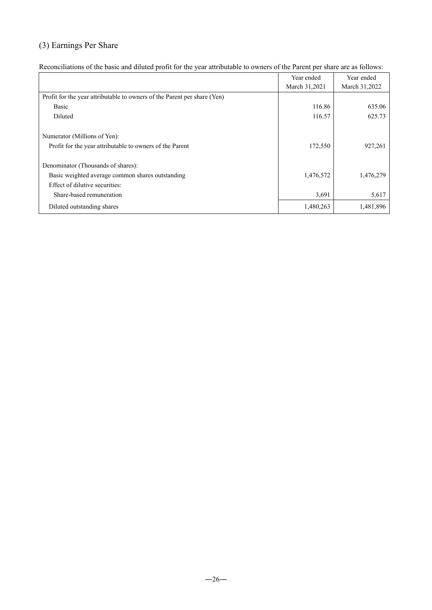# (3) Earnings Per Share

|                                                                          | Year ended    | Year ended    |
|--------------------------------------------------------------------------|---------------|---------------|
|                                                                          | March 31,2021 | March 31,2022 |
| Profit for the year attributable to owners of the Parent per share (Yen) |               |               |
| Basic                                                                    | 116.86        | 635.06        |
| Diluted                                                                  | 116.57        | 625.73        |
| Numerator (Millions of Yen):                                             |               |               |
| Profit for the year attributable to owners of the Parent                 | 172,550       | 927,261       |
| Denominator (Thousands of shares):                                       |               |               |
| Basic weighted average common shares outstanding                         | 1,476,572     | 1,476,279     |
| Effect of dilutive securities:                                           |               |               |
| Share-based remuneration                                                 | 3,691         | 5,617         |
| Diluted outstanding shares                                               | 1,480,263     | 1,481,896     |

Reconciliations of the basic and diluted profit for the year attributable to owners of the Parent per share are as follows: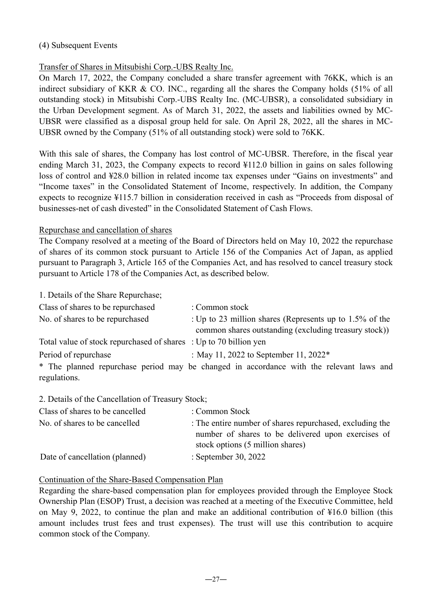#### (4) Subsequent Events

#### Transfer of Shares in Mitsubishi Corp.-UBS Realty Inc.

On March 17, 2022, the Company concluded a share transfer agreement with 76KK, which is an indirect subsidiary of KKR & CO. INC., regarding all the shares the Company holds (51% of all outstanding stock) in Mitsubishi Corp.-UBS Realty Inc. (MC-UBSR), a consolidated subsidiary in the Urban Development segment. As of March 31, 2022, the assets and liabilities owned by MC-UBSR were classified as a disposal group held for sale. On April 28, 2022, all the shares in MC-UBSR owned by the Company (51% of all outstanding stock) were sold to 76KK.

With this sale of shares, the Company has lost control of MC-UBSR. Therefore, in the fiscal year ending March 31, 2023, the Company expects to record ¥112.0 billion in gains on sales following loss of control and ¥28.0 billion in related income tax expenses under "Gains on investments" and "Income taxes" in the Consolidated Statement of Income, respectively. In addition, the Company expects to recognize ¥115.7 billion in consideration received in cash as "Proceeds from disposal of businesses-net of cash divested" in the Consolidated Statement of Cash Flows.

#### Repurchase and cancellation of shares

The Company resolved at a meeting of the Board of Directors held on May 10, 2022 the repurchase of shares of its common stock pursuant to Article 156 of the Companies Act of Japan, as applied pursuant to Paragraph 3, Article 165 of the Companies Act, and has resolved to cancel treasury stock pursuant to Article 178 of the Companies Act, as described below.

1. Details of the Share Repurchase;

| Class of shares to be repurchased                                 | : Common stock                                                                          |
|-------------------------------------------------------------------|-----------------------------------------------------------------------------------------|
| No. of shares to be repurchased                                   | : Up to 23 million shares (Represents up to $1.5\%$ of the                              |
|                                                                   | common shares outstanding (excluding treasury stock))                                   |
| Total value of stock repurchased of shares : Up to 70 billion yen |                                                                                         |
| Period of repurchase                                              | : May 11, 2022 to September 11, 2022 $*$                                                |
|                                                                   | * The planned repurchase period may be changed in accordance with the relevant laws and |
| regulations.                                                      |                                                                                         |

2. Details of the Cancellation of Treasury Stock;

| Class of shares to be cancelled | : Common Stock                                                                                                                                     |
|---------------------------------|----------------------------------------------------------------------------------------------------------------------------------------------------|
| No. of shares to be cancelled   | : The entire number of shares repurchased, excluding the<br>number of shares to be delivered upon exercises of<br>stock options (5 million shares) |
| Date of cancellation (planned)  | : September 30, 2022                                                                                                                               |

#### Continuation of the Share-Based Compensation Plan

Regarding the share-based compensation plan for employees provided through the Employee Stock Ownership Plan (ESOP) Trust, a decision was reached at a meeting of the Executive Committee, held on May 9, 2022, to continue the plan and make an additional contribution of ¥16.0 billion (this amount includes trust fees and trust expenses). The trust will use this contribution to acquire common stock of the Company.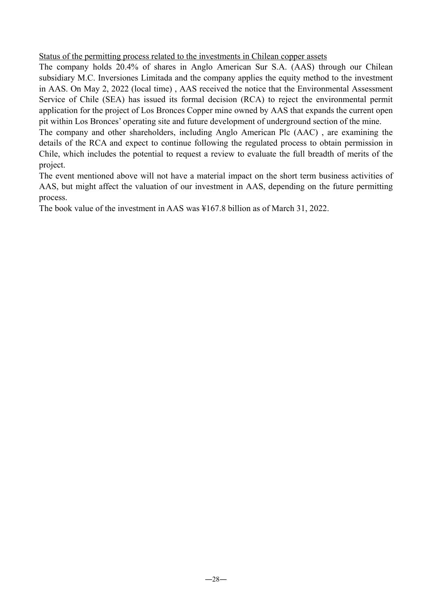Status of the permitting process related to the investments in Chilean copper assets

The company holds 20.4% of shares in Anglo American Sur S.A. (AAS) through our Chilean subsidiary M.C. Inversiones Limitada and the company applies the equity method to the investment in AAS. On May 2, 2022 (local time) , AAS received the notice that the Environmental Assessment Service of Chile (SEA) has issued its formal decision (RCA) to reject the environmental permit application for the project of Los Bronces Copper mine owned by AAS that expands the current open pit within Los Bronces' operating site and future development of underground section of the mine.

The company and other shareholders, including Anglo American Plc (AAC) , are examining the details of the RCA and expect to continue following the regulated process to obtain permission in Chile, which includes the potential to request a review to evaluate the full breadth of merits of the project.

The event mentioned above will not have a material impact on the short term business activities of AAS, but might affect the valuation of our investment in AAS, depending on the future permitting process.

The book value of the investment in AAS was ¥167.8 billion as of March 31, 2022.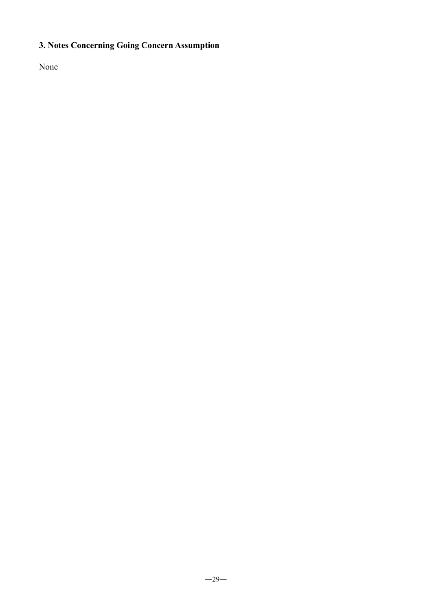# **3. Notes Concerning Going Concern Assumption**

None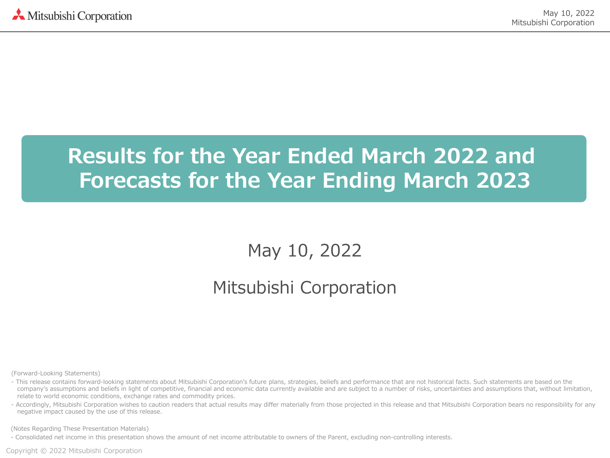# **Results for the Year Ended March 2022 and Forecasts for the Year Ending March 2023**

May 10, 2022

# Mitsubishi Corporation

(Forward-Looking Statements)

- This release contains forward-looking statements about Mitsubishi Corporation's future plans, strategies, beliefs and performance that are not historical facts. Such statements are based on the company's assumptions and beliefs in light of competitive, financial and economic data currently available and are subject to a number of risks, uncertainties and assumptions that, without limitation, relate to world economic conditions, exchange rates and commodity prices.
- Accordingly, Mitsubishi Corporation wishes to caution readers that actual results may differ materially from those projected in this release and that Mitsubishi Corporation bears no responsibility for any negative impact caused by the use of this release.

(Notes Regarding These Presentation Materials)

- Consolidated net income in this presentation shows the amount of net income attributable to owners of the Parent, excluding non-controlling interests.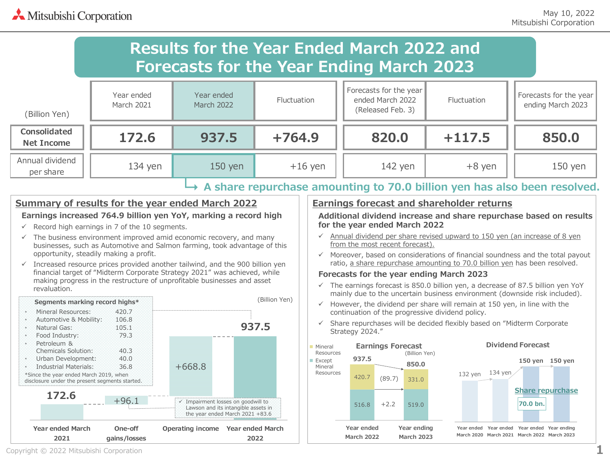# Mitsubishi Corporation

# **Results for the Year Ended March 2022 and Forecasts for the Year Ending March 2023**

| (Billion Yen)                | Year ended<br>March 2021 | Year ended<br><b>March 2022</b> | <b>Fluctuation</b> | Forecasts for the year<br>ended March 2022<br>(Released Feb. 3) | Fluctuation | Forecasts for the year<br>ending March 2023 |
|------------------------------|--------------------------|---------------------------------|--------------------|-----------------------------------------------------------------|-------------|---------------------------------------------|
| Consolidated<br>Net Income   | 172.6                    | 937.5                           | $+764.9$           | 820.0                                                           | $+117.5$    | 850.0                                       |
| Annual dividend<br>per share | $134$ yen                | 150 yen                         | $+16$ yen          | 142 yen                                                         | $+8$ yen    | 150 yen                                     |

#### **A share repurchase amounting to 70.0 billion yen has also been resolved.**

### **Summary of results for the year ended March 2022**

#### **Earnings increased 764.9 billion yen YoY, marking a record high**

- $\checkmark$  Record high earnings in 7 of the 10 segments.
- $\checkmark$  The business environment improved amid economic recovery, and many businesses, such as Automotive and Salmon farming, took advantage of this opportunity, steadily making a profit.
- $\checkmark$  Increased resource prices provided another tailwind, and the 900 billion yen financial target of "Midterm Corporate Strategy 2021" was achieved, while making progress in the restructure of unprofitable businesses and asset revaluation.



#### **Earnings forecast and shareholder returns**

**Additional dividend increase and share repurchase based on results for the year ended March 2022**

- $\checkmark$  Annual dividend per share revised upward to 150 yen (an increase of 8 yen from the most recent forecast).
- $\checkmark$  Moreover, based on considerations of financial soundness and the total payout ratio, a share repurchase amounting to 70.0 billion yen has been resolved.

#### **Forecasts for the year ending March 2023**

- $\checkmark$  The earnings forecast is 850.0 billion yen, a decrease of 87.5 billion yen YoY mainly due to the uncertain business environment (downside risk included).
- $\checkmark$  However, the dividend per share will remain at 150 yen, in line with the continuation of the progressive dividend policy.
- $\checkmark$  Share repurchases will be decided flexibly based on "Midterm Corporate" Strategy 2024."

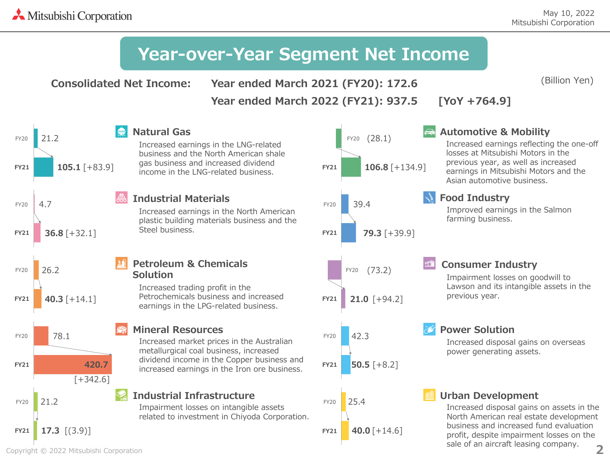(Billion Yen)

# **Year-over-Year Segment Net Income**

**Consolidated Net Income:**

**Year ended March 2021 (FY20): 172.6**

**Year ended March 2022 (FY21): 937.5 [YoY +764.9]**

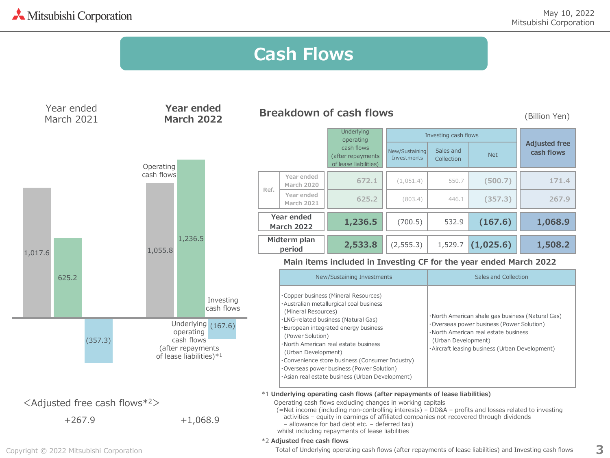**3**

#### New/Sustaining Investments Sales and Collection Net **Year ended March 2020 672.1** (1,051.4) 550.7 **(500.7) 171.4 Year ended March 2021 625.2 (803.4)** 446.1 **(357.3) 267.9 1,236.5** (700.5) 532.9 **(167.6) 1,068.9 2,533.8** (2,555.3) 1,529.7 **(1,025.6) 1,508.2 Underlying** operating cash flows (after repayments of lease liabilities) Investing cash flows **Adjusted free cash flows** New/Sustaining Investments **Midterm plan period** ・Copper business (Mineral Resources) ・Australian metallurgical coal business (Mineral Resources) ・LNG-related business (Natural Gas) ・European integrated energy business (Power Solution) ・North American real estate business (Urban Development) ・Convenience store business (Consumer Industry) ・Overseas power business (Power Solution) ・Asian real estate business (Urban Development) Sales and Collection ・North American shale gas business (Natural Gas) ・Overseas power business (Power Solution) ・North American real estate business (Urban Development) ・Aircraft leasing business (Urban Development) **Year ended March 2022 Ref.** 1,017.6 625.2 (357.3) 1,055.8 1,236.5 Underlying <sub>(167.6)</sub> +267.9 <Adjusted free cash flows\*2> +1,068.9 **Cash Flows Year ended March 2022** Year ended March 2021 Investing cash flows Operating cash flows operating cash flows (after repayments of lease liabilities)\*1 **Breakdown of cash flows** (Billion Yen) **Main items included in Investing CF for the year ended March 2022** \*1 **Underlying operating cash flows (after repayments of lease liabilities)** Operating cash flows excluding changes in working capitals (=Net income (including non-controlling interests) – DD&A – profits and losses related to investing activities – equity in earnings of affiliated companies not recovered through dividends – allowance for bad debt etc. – deferred tax) whilst including repayments of lease liabilities \*2 **Adjusted free cash flows**

Copyright © 2022 Mitsubishi Corporation

Total of Underlying operating cash flows (after repayments of lease liabilities) and Investing cash flows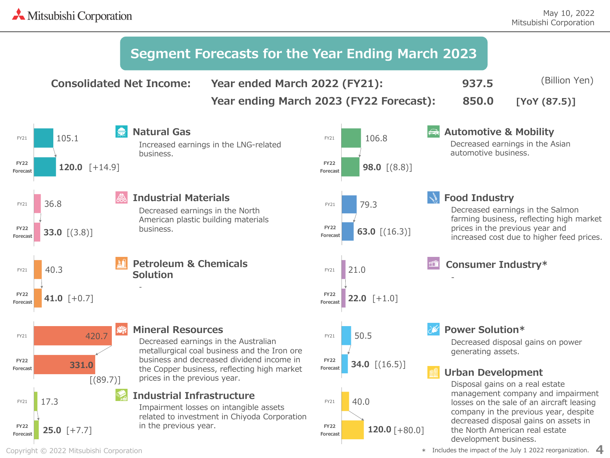